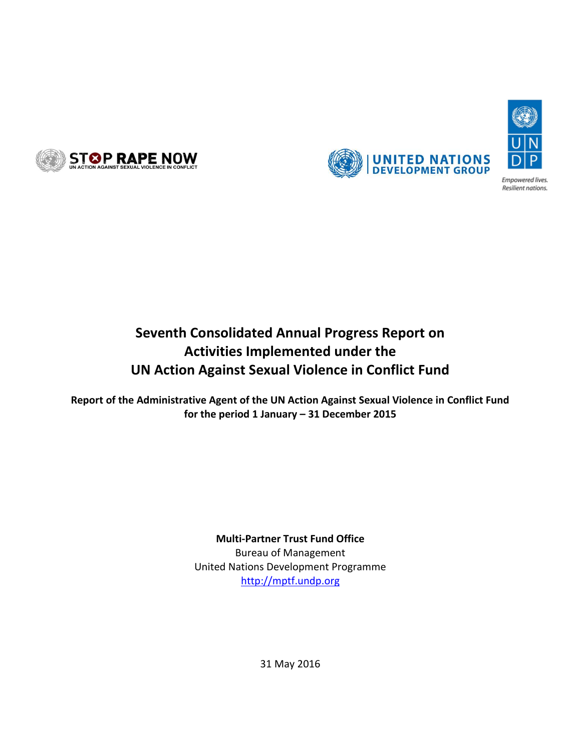





Resilient nations.

# **Seventh Consolidated Annual Progress Report on Activities Implemented under the UN Action Against Sexual Violence in Conflict Fund**

**Report of the Administrative Agent of the UN Action Against Sexual Violence in Conflict Fund for the period 1 January – 31 December 2015**

# **Multi-Partner Trust Fund Office**

Bureau of Management United Nations Development Programme [http://mptf.undp.org](http://mptf.undp.org/)

31 May 2016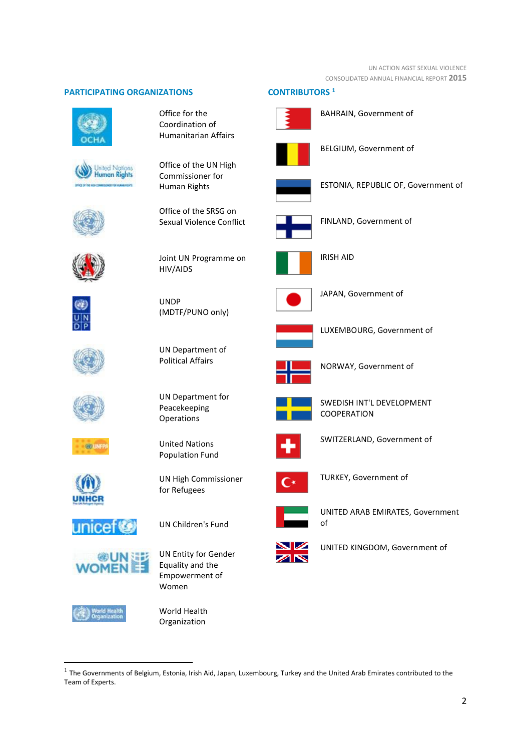UN ACTION AGST SEXUAL VIOLENCE CONSOLIDATED ANNUAL FINANCIAL REPORT **2015**

## **PARTICIPATING ORGANIZATIONS CONTRIBUTORS <sup>1</sup>**







Coordination of Humanitarian Affairs

Office for the

Office of the UN High Commissioner for Human Rights



UNDP



Joint UN Programme on HIV/AIDS

(MDTF/PUNO only)

UN Department of Political Affairs

UN Department for Peacekeeping **Operations** 

United Nations Population Fund

for Refugees

UN High Commissioner



















UN Children's Fund



**.** 



Organization





BAHRAIN, Government of



BELGIUM, Government of



ESTONIA, REPUBLIC OF, Government of



FINLAND, Government of



IRISH AID



JAPAN, Government of



LUXEMBOURG, Government of



NORWAY, Government of



SWEDISH INT'L DEVELOPMENT COOPERATION



SWITZERLAND, Government of



TURKEY, Government of



UNITED ARAB EMIRATES, Government of



UNITED KINGDOM, Government of

<sup>1</sup> The Governments of Belgium, Estonia, Irish Aid, Japan, Luxembourg, Turkey and the United Arab Emirates contributed to the Team of Experts.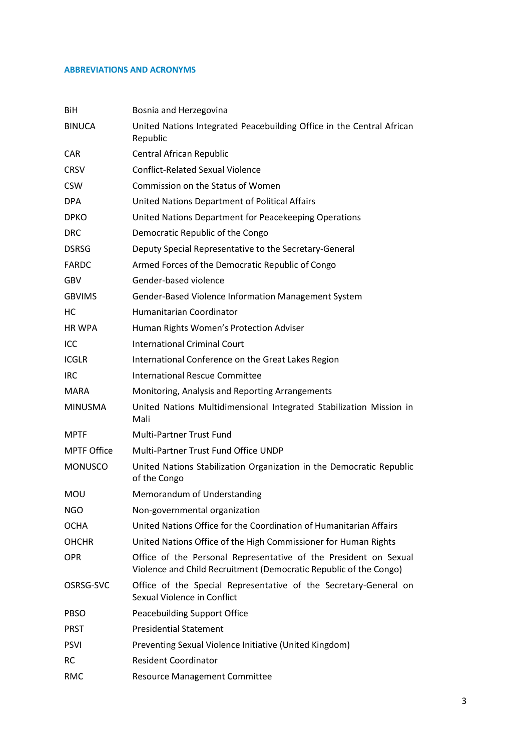### **ABBREVIATIONS AND ACRONYMS**

| BiH                | Bosnia and Herzegovina                                                                                                                |
|--------------------|---------------------------------------------------------------------------------------------------------------------------------------|
| <b>BINUCA</b>      | United Nations Integrated Peacebuilding Office in the Central African<br>Republic                                                     |
| <b>CAR</b>         | Central African Republic                                                                                                              |
| <b>CRSV</b>        | <b>Conflict-Related Sexual Violence</b>                                                                                               |
| <b>CSW</b>         | Commission on the Status of Women                                                                                                     |
| <b>DPA</b>         | United Nations Department of Political Affairs                                                                                        |
| <b>DPKO</b>        | United Nations Department for Peacekeeping Operations                                                                                 |
| <b>DRC</b>         | Democratic Republic of the Congo                                                                                                      |
| <b>DSRSG</b>       | Deputy Special Representative to the Secretary-General                                                                                |
| <b>FARDC</b>       | Armed Forces of the Democratic Republic of Congo                                                                                      |
| GBV                | Gender-based violence                                                                                                                 |
| <b>GBVIMS</b>      | Gender-Based Violence Information Management System                                                                                   |
| НC                 | Humanitarian Coordinator                                                                                                              |
| <b>HR WPA</b>      | Human Rights Women's Protection Adviser                                                                                               |
| ICC                | <b>International Criminal Court</b>                                                                                                   |
| <b>ICGLR</b>       | International Conference on the Great Lakes Region                                                                                    |
| <b>IRC</b>         | <b>International Rescue Committee</b>                                                                                                 |
| <b>MARA</b>        | Monitoring, Analysis and Reporting Arrangements                                                                                       |
| <b>MINUSMA</b>     | United Nations Multidimensional Integrated Stabilization Mission in<br>Mali                                                           |
| <b>MPTF</b>        | <b>Multi-Partner Trust Fund</b>                                                                                                       |
| <b>MPTF Office</b> | Multi-Partner Trust Fund Office UNDP                                                                                                  |
| <b>MONUSCO</b>     | United Nations Stabilization Organization in the Democratic Republic<br>of the Congo                                                  |
| <b>MOU</b>         | Memorandum of Understanding                                                                                                           |
| <b>NGO</b>         | Non-governmental organization                                                                                                         |
| <b>OCHA</b>        | United Nations Office for the Coordination of Humanitarian Affairs                                                                    |
| <b>OHCHR</b>       | United Nations Office of the High Commissioner for Human Rights                                                                       |
| <b>OPR</b>         | Office of the Personal Representative of the President on Sexual<br>Violence and Child Recruitment (Democratic Republic of the Congo) |
| OSRSG-SVC          | Office of the Special Representative of the Secretary-General on<br>Sexual Violence in Conflict                                       |
| PBSO               | Peacebuilding Support Office                                                                                                          |
| <b>PRST</b>        | <b>Presidential Statement</b>                                                                                                         |
| <b>PSVI</b>        | Preventing Sexual Violence Initiative (United Kingdom)                                                                                |
| RC                 | <b>Resident Coordinator</b>                                                                                                           |
| <b>RMC</b>         | <b>Resource Management Committee</b>                                                                                                  |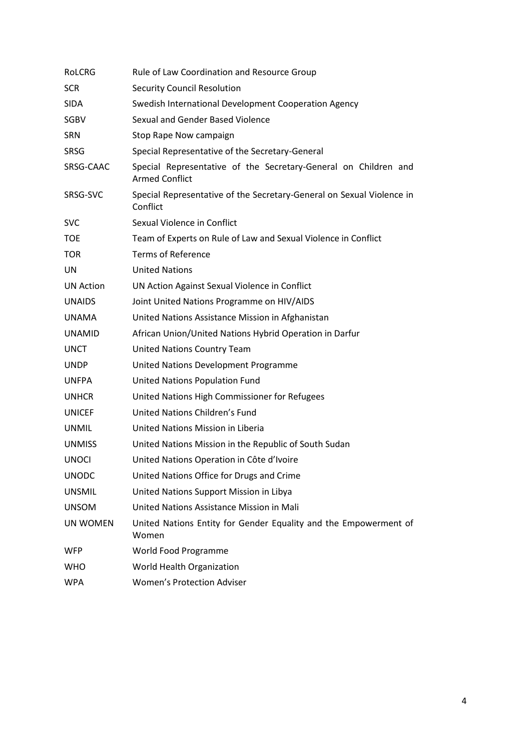| <b>ROLCRG</b>    | Rule of Law Coordination and Resource Group                                              |
|------------------|------------------------------------------------------------------------------------------|
| <b>SCR</b>       | <b>Security Council Resolution</b>                                                       |
| <b>SIDA</b>      | Swedish International Development Cooperation Agency                                     |
| <b>SGBV</b>      | Sexual and Gender Based Violence                                                         |
| <b>SRN</b>       | Stop Rape Now campaign                                                                   |
| <b>SRSG</b>      | Special Representative of the Secretary-General                                          |
| SRSG-CAAC        | Special Representative of the Secretary-General on Children and<br><b>Armed Conflict</b> |
| SRSG-SVC         | Special Representative of the Secretary-General on Sexual Violence in<br>Conflict        |
| <b>SVC</b>       | Sexual Violence in Conflict                                                              |
| <b>TOE</b>       | Team of Experts on Rule of Law and Sexual Violence in Conflict                           |
| <b>TOR</b>       | <b>Terms of Reference</b>                                                                |
| UN               | <b>United Nations</b>                                                                    |
| <b>UN Action</b> | UN Action Against Sexual Violence in Conflict                                            |
| <b>UNAIDS</b>    | Joint United Nations Programme on HIV/AIDS                                               |
| <b>UNAMA</b>     | United Nations Assistance Mission in Afghanistan                                         |
| <b>UNAMID</b>    | African Union/United Nations Hybrid Operation in Darfur                                  |
| <b>UNCT</b>      | United Nations Country Team                                                              |
| <b>UNDP</b>      | United Nations Development Programme                                                     |
| <b>UNFPA</b>     | United Nations Population Fund                                                           |
| <b>UNHCR</b>     | United Nations High Commissioner for Refugees                                            |
| <b>UNICEF</b>    | United Nations Children's Fund                                                           |
| <b>UNMIL</b>     | United Nations Mission in Liberia                                                        |
| <b>UNMISS</b>    | United Nations Mission in the Republic of South Sudan                                    |
| <b>UNOCI</b>     | United Nations Operation in Côte d'Ivoire                                                |
| <b>UNODC</b>     | United Nations Office for Drugs and Crime                                                |
| <b>UNSMIL</b>    | United Nations Support Mission in Libya                                                  |
| <b>UNSOM</b>     | United Nations Assistance Mission in Mali                                                |
| <b>UN WOMEN</b>  | United Nations Entity for Gender Equality and the Empowerment of<br>Women                |
| <b>WFP</b>       | World Food Programme                                                                     |
| <b>WHO</b>       | World Health Organization                                                                |
| <b>WPA</b>       | <b>Women's Protection Adviser</b>                                                        |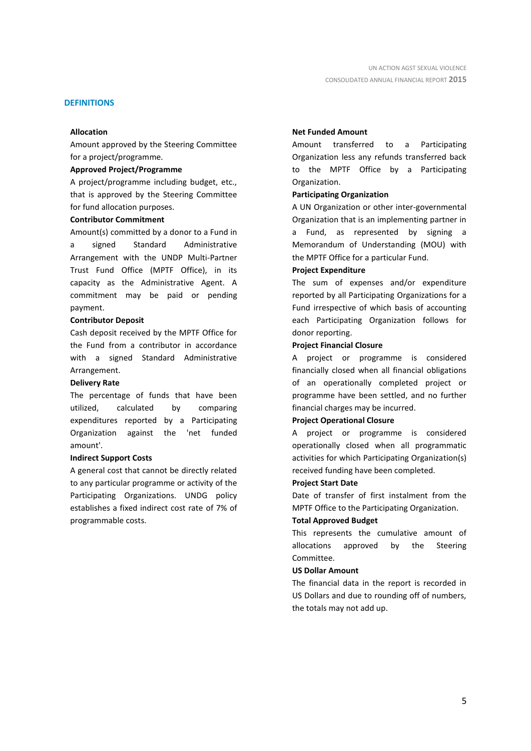#### **DEFINITIONS**

#### **Allocation**

Amount approved by the Steering Committee for a project/programme.

### **Approved Project/Programme**

A project/programme including budget, etc., that is approved by the Steering Committee for fund allocation purposes.

### **Contributor Commitment**

Amount(s) committed by a donor to a Fund in a signed Standard Administrative Arrangement with the UNDP Multi-Partner Trust Fund Office (MPTF Office), in its capacity as the Administrative Agent. A commitment may be paid or pending payment.

#### **Contributor Deposit**

Cash deposit received by the MPTF Office for the Fund from a contributor in accordance with a signed Standard Administrative Arrangement.

#### **Delivery Rate**

The percentage of funds that have been utilized, calculated by comparing expenditures reported by a Participating Organization against the 'net funded amount'.

### **Indirect Support Costs**

A general cost that cannot be directly related to any particular programme or activity of the Participating Organizations. UNDG policy establishes a fixed indirect cost rate of 7% of programmable costs.

#### **Net Funded Amount**

Amount transferred to a Participating Organization less any refunds transferred back to the MPTF Office by a Participating Organization.

#### **Participating Organization**

A UN Organization or other inter-governmental Organization that is an implementing partner in a Fund, as represented by signing a Memorandum of Understanding (MOU) with the MPTF Office for a particular Fund.

#### **Project Expenditure**

The sum of expenses and/or expenditure reported by all Participating Organizations for a Fund irrespective of which basis of accounting each Participating Organization follows for donor reporting.

#### **Project Financial Closure**

A project or programme is considered financially closed when all financial obligations of an operationally completed project or programme have been settled, and no further financial charges may be incurred.

#### **Project Operational Closure**

A project or programme is considered operationally closed when all programmatic activities for which Participating Organization(s) received funding have been completed.

#### **Project Start Date**

Date of transfer of first instalment from the MPTF Office to the Participating Organization.

### **Total Approved Budget**

This represents the cumulative amount of allocations approved by the Steering Committee.

### **US Dollar Amount**

The financial data in the report is recorded in US Dollars and due to rounding off of numbers, the totals may not add up.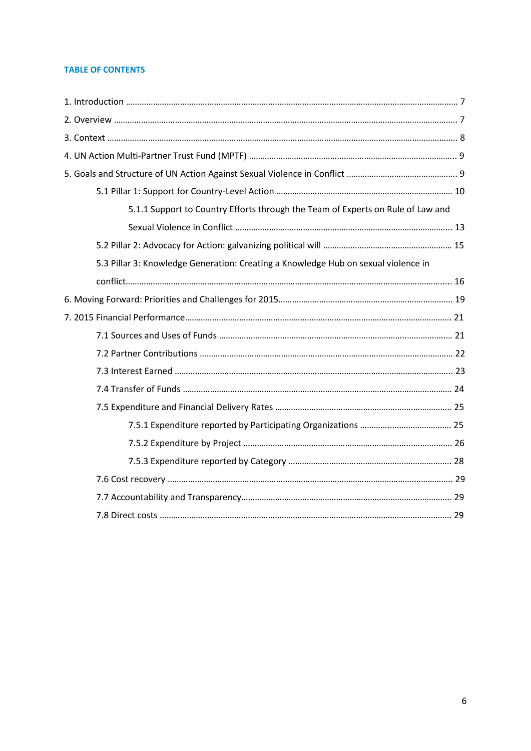### **TABLE OF CONTENTS**

| 5.1.1 Support to Country Efforts through the Team of Experts on Rule of Law and    |  |
|------------------------------------------------------------------------------------|--|
|                                                                                    |  |
|                                                                                    |  |
| 5.3 Pillar 3: Knowledge Generation: Creating a Knowledge Hub on sexual violence in |  |
|                                                                                    |  |
|                                                                                    |  |
|                                                                                    |  |
|                                                                                    |  |
|                                                                                    |  |
|                                                                                    |  |
|                                                                                    |  |
|                                                                                    |  |
|                                                                                    |  |
|                                                                                    |  |
|                                                                                    |  |
|                                                                                    |  |
|                                                                                    |  |
|                                                                                    |  |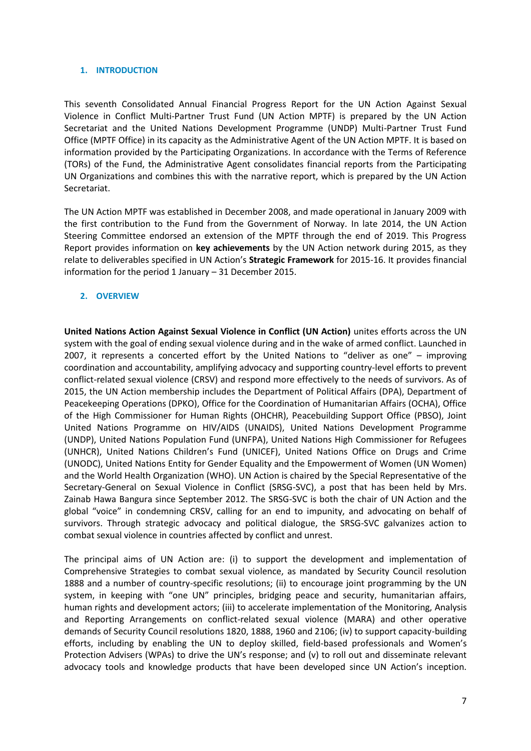### **1. INTRODUCTION**

This seventh Consolidated Annual Financial Progress Report for the UN Action Against Sexual Violence in Conflict Multi-Partner Trust Fund (UN Action MPTF) is prepared by the UN Action Secretariat and the United Nations Development Programme (UNDP) Multi-Partner Trust Fund Office (MPTF Office) in its capacity as the Administrative Agent of the UN Action MPTF. It is based on information provided by the Participating Organizations. In accordance with the Terms of Reference (TORs) of the Fund, the Administrative Agent consolidates financial reports from the Participating UN Organizations and combines this with the narrative report, which is prepared by the UN Action Secretariat.

The UN Action MPTF was established in December 2008, and made operational in January 2009 with the first contribution to the Fund from the Government of Norway. In late 2014, the UN Action Steering Committee endorsed an extension of the MPTF through the end of 2019. This Progress Report provides information on **key achievements** by the UN Action network during 2015, as they relate to deliverables specified in UN Action's **Strategic Framework** for 2015-16. It provides financial information for the period 1 January – 31 December 2015.

### **2. OVERVIEW**

**United Nations Action Against Sexual Violence in Conflict (UN Action)** unites efforts across the UN system with the goal of ending sexual violence during and in the wake of armed conflict. Launched in 2007, it represents a concerted effort by the United Nations to "deliver as one" – improving coordination and accountability, amplifying advocacy and supporting country-level efforts to prevent conflict-related sexual violence (CRSV) and respond more effectively to the needs of survivors. As of 2015, the UN Action membership includes the Department of Political Affairs (DPA), Department of Peacekeeping Operations (DPKO), Office for the Coordination of Humanitarian Affairs (OCHA), Office of the High Commissioner for Human Rights (OHCHR), Peacebuilding Support Office (PBSO), Joint United Nations Programme on HIV/AIDS (UNAIDS), United Nations Development Programme (UNDP), United Nations Population Fund (UNFPA), United Nations High Commissioner for Refugees (UNHCR), United Nations Children's Fund (UNICEF), United Nations Office on Drugs and Crime (UNODC), United Nations Entity for Gender Equality and the Empowerment of Women (UN Women) and the World Health Organization (WHO). UN Action is chaired by the Special Representative of the Secretary-General on Sexual Violence in Conflict (SRSG-SVC), a post that has been held by Mrs. Zainab Hawa Bangura since September 2012. The SRSG-SVC is both the chair of UN Action and the global "voice" in condemning CRSV, calling for an end to impunity, and advocating on behalf of survivors. Through strategic advocacy and political dialogue, the SRSG-SVC galvanizes action to combat sexual violence in countries affected by conflict and unrest.

The principal aims of UN Action are: (i) to support the development and implementation of Comprehensive Strategies to combat sexual violence, as mandated by Security Council resolution 1888 and a number of country-specific resolutions; (ii) to encourage joint programming by the UN system, in keeping with "one UN" principles, bridging peace and security, humanitarian affairs, human rights and development actors; (iii) to accelerate implementation of the Monitoring, Analysis and Reporting Arrangements on conflict-related sexual violence (MARA) and other operative demands of Security Council resolutions 1820, 1888, 1960 and 2106; (iv) to support capacity-building efforts, including by enabling the UN to deploy skilled, field-based professionals and Women's Protection Advisers (WPAs) to drive the UN's response; and (v) to roll out and disseminate relevant advocacy tools and knowledge products that have been developed since UN Action's inception.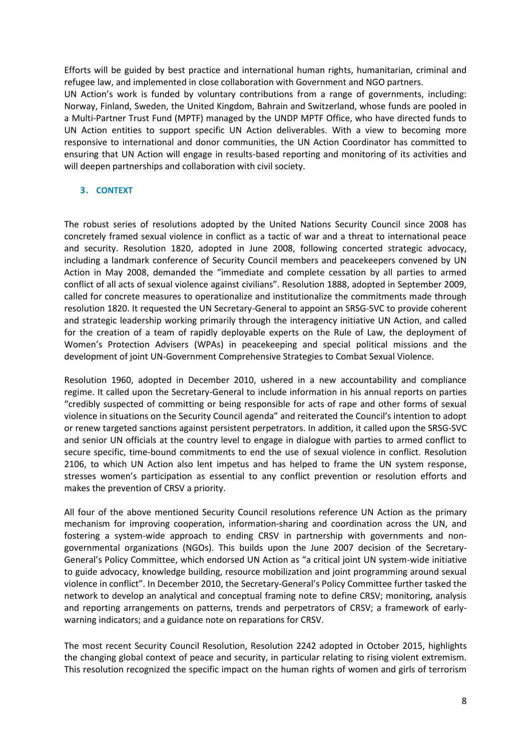Efforts will be guided by best practice and international human rights, humanitarian, criminal and refugee law, and implemented in close collaboration with Government and NGO partners. UN Action's work is funded by voluntary contributions from a range of governments, including: Norway, Finland, Sweden, the United Kingdom, Bahrain and Switzerland, whose funds are pooled in a Multi-Partner Trust Fund (MPTF) managed by the UNDP MPTF Office, who have directed funds to UN Action entities to support specific UN Action deliverables. With a view to becoming more responsive to international and donor communities, the UN Action Coordinator has committed to ensuring that UN Action will engage in results-based reporting and monitoring of its activities and will deepen partnerships and collaboration with civil society.

### **3. CONTEXT**

The robust series of resolutions adopted by the United Nations Security Council since 2008 has concretely framed sexual violence in conflict as a tactic of war and a threat to international peace and security. Resolution 1820, adopted in June 2008, following concerted strategic advocacy, including a landmark conference of Security Council members and peacekeepers convened by UN Action in May 2008, demanded the "immediate and complete cessation by all parties to armed conflict of all acts of sexual violence against civilians". Resolution 1888, adopted in September 2009, called for concrete measures to operationalize and institutionalize the commitments made through resolution 1820. It requested the UN Secretary-General to appoint an SRSG-SVC to provide coherent and strategic leadership working primarily through the interagency initiative UN Action, and called for the creation of a team of rapidly deployable experts on the Rule of Law, the deployment of Women's Protection Advisers (WPAs) in peacekeeping and special political missions and the development of joint UN-Government Comprehensive Strategies to Combat Sexual Violence.

Resolution 1960, adopted in December 2010, ushered in a new accountability and compliance regime. It called upon the Secretary-General to include information in his annual reports on parties "credibly suspected of committing or being responsible for acts of rape and other forms of sexual violence in situations on the Security Council agenda" and reiterated the Council's intention to adopt or renew targeted sanctions against persistent perpetrators. In addition, it called upon the SRSG-SVC and senior UN officials at the country level to engage in dialogue with parties to armed conflict to secure specific, time-bound commitments to end the use of sexual violence in conflict. Resolution 2106, to which UN Action also lent impetus and has helped to frame the UN system response, stresses women's participation as essential to any conflict prevention or resolution efforts and makes the prevention of CRSV a priority.

All four of the above mentioned Security Council resolutions reference UN Action as the primary mechanism for improving cooperation, information-sharing and coordination across the UN, and fostering a system-wide approach to ending CRSV in partnership with governments and nongovernmental organizations (NGOs). This builds upon the June 2007 decision of the Secretary-General's Policy Committee, which endorsed UN Action as "a critical joint UN system-wide initiative to guide advocacy, knowledge building, resource mobilization and joint programming around sexual violence in conflict". In December 2010, the Secretary-General's Policy Committee further tasked the network to develop an analytical and conceptual framing note to define CRSV; monitoring, analysis and reporting arrangements on patterns, trends and perpetrators of CRSV; a framework of earlywarning indicators; and a guidance note on reparations for CRSV.

The most recent Security Council Resolution, Resolution 2242 adopted in October 2015, highlights the changing global context of peace and security, in particular relating to rising violent extremism. This resolution recognized the specific impact on the human rights of women and girls of terrorism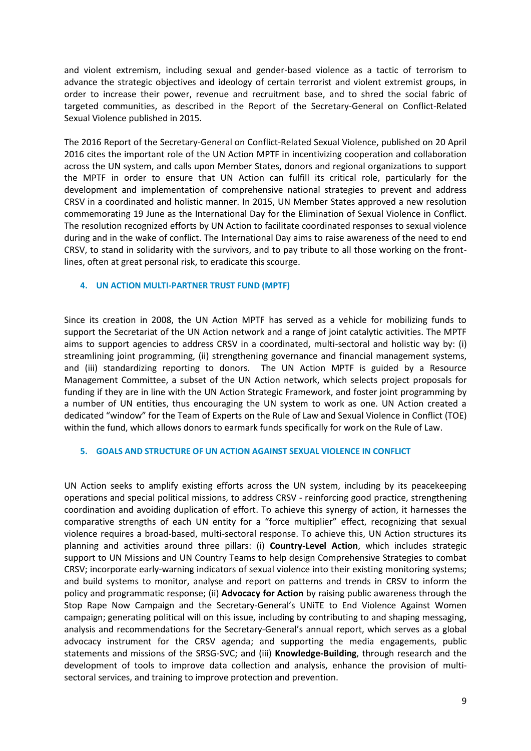and violent extremism, including sexual and gender-based violence as a tactic of terrorism to advance the strategic objectives and ideology of certain terrorist and violent extremist groups, in order to increase their power, revenue and recruitment base, and to shred the social fabric of targeted communities, as described in the Report of the Secretary-General on Conflict-Related Sexual Violence published in 2015.

The 2016 Report of the Secretary-General on Conflict-Related Sexual Violence, published on 20 April 2016 cites the important role of the UN Action MPTF in incentivizing cooperation and collaboration across the UN system, and calls upon Member States, donors and regional organizations to support the MPTF in order to ensure that UN Action can fulfill its critical role, particularly for the development and implementation of comprehensive national strategies to prevent and address CRSV in a coordinated and holistic manner. In 2015, UN Member States approved a new resolution commemorating 19 June as the International Day for the Elimination of Sexual Violence in Conflict. The resolution recognized efforts by UN Action to facilitate coordinated responses to sexual violence during and in the wake of conflict. The International Day aims to raise awareness of the need to end CRSV, to stand in solidarity with the survivors, and to pay tribute to all those working on the frontlines, often at great personal risk, to eradicate this scourge.

### **4. UN ACTION MULTI-PARTNER TRUST FUND (MPTF)**

Since its creation in 2008, the UN Action MPTF has served as a vehicle for mobilizing funds to support the Secretariat of the UN Action network and a range of joint catalytic activities. The MPTF aims to support agencies to address CRSV in a coordinated, multi-sectoral and holistic way by: (i) streamlining joint programming, (ii) strengthening governance and financial management systems, and (iii) standardizing reporting to donors. The UN Action MPTF is guided by a Resource Management Committee, a subset of the UN Action network, which selects project proposals for funding if they are in line with the UN Action Strategic Framework, and foster joint programming by a number of UN entities, thus encouraging the UN system to work as one. UN Action created a dedicated "window" for the Team of Experts on the Rule of Law and Sexual Violence in Conflict (TOE) within the fund, which allows donors to earmark funds specifically for work on the Rule of Law.

### **5. GOALS AND STRUCTURE OF UN ACTION AGAINST SEXUAL VIOLENCE IN CONFLICT**

UN Action seeks to amplify existing efforts across the UN system, including by its peacekeeping operations and special political missions, to address CRSV - reinforcing good practice, strengthening coordination and avoiding duplication of effort. To achieve this synergy of action, it harnesses the comparative strengths of each UN entity for a "force multiplier" effect, recognizing that sexual violence requires a broad-based, multi-sectoral response. To achieve this, UN Action structures its planning and activities around three pillars: (i) **Country-Level Action**, which includes strategic support to UN Missions and UN Country Teams to help design Comprehensive Strategies to combat CRSV; incorporate early-warning indicators of sexual violence into their existing monitoring systems; and build systems to monitor, analyse and report on patterns and trends in CRSV to inform the policy and programmatic response; (ii) **Advocacy for Action** by raising public awareness through the Stop Rape Now Campaign and the Secretary-General's UNiTE to End Violence Against Women campaign; generating political will on this issue, including by contributing to and shaping messaging, analysis and recommendations for the Secretary-General's annual report, which serves as a global advocacy instrument for the CRSV agenda; and supporting the media engagements, public statements and missions of the SRSG-SVC; and (iii) **Knowledge-Building**, through research and the development of tools to improve data collection and analysis, enhance the provision of multisectoral services, and training to improve protection and prevention.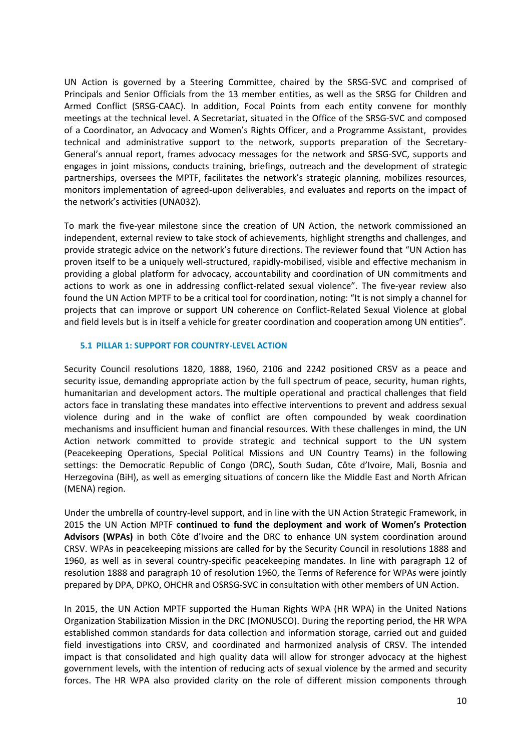UN Action is governed by a Steering Committee, chaired by the SRSG-SVC and comprised of Principals and Senior Officials from the 13 member entities, as well as the SRSG for Children and Armed Conflict (SRSG-CAAC). In addition, Focal Points from each entity convene for monthly meetings at the technical level. A Secretariat, situated in the Office of the SRSG-SVC and composed of a Coordinator, an Advocacy and Women's Rights Officer, and a Programme Assistant, provides technical and administrative support to the network, supports preparation of the Secretary-General's annual report, frames advocacy messages for the network and SRSG-SVC, supports and engages in joint missions, conducts training, briefings, outreach and the development of strategic partnerships, oversees the MPTF, facilitates the network's strategic planning, mobilizes resources, monitors implementation of agreed-upon deliverables, and evaluates and reports on the impact of the network's activities (UNA032).

To mark the five-year milestone since the creation of UN Action, the network commissioned an independent, external review to take stock of achievements, highlight strengths and challenges, and provide strategic advice on the network's future directions. The reviewer found that "UN Action has proven itself to be a uniquely well-structured, rapidly-mobilised, visible and effective mechanism in providing a global platform for advocacy, accountability and coordination of UN commitments and actions to work as one in addressing conflict-related sexual violence". The five-year review also found the UN Action MPTF to be a critical tool for coordination, noting: "It is not simply a channel for projects that can improve or support UN coherence on Conflict-Related Sexual Violence at global and field levels but is in itself a vehicle for greater coordination and cooperation among UN entities".

### **5.1 PILLAR 1: SUPPORT FOR COUNTRY-LEVEL ACTION**

Security Council resolutions 1820, 1888, 1960, 2106 and 2242 positioned CRSV as a peace and security issue, demanding appropriate action by the full spectrum of peace, security, human rights, humanitarian and development actors. The multiple operational and practical challenges that field actors face in translating these mandates into effective interventions to prevent and address sexual violence during and in the wake of conflict are often compounded by weak coordination mechanisms and insufficient human and financial resources. With these challenges in mind, the UN Action network committed to provide strategic and technical support to the UN system (Peacekeeping Operations, Special Political Missions and UN Country Teams) in the following settings: the Democratic Republic of Congo (DRC), South Sudan, Côte d'Ivoire, Mali, Bosnia and Herzegovina (BiH), as well as emerging situations of concern like the Middle East and North African (MENA) region.

Under the umbrella of country-level support, and in line with the UN Action Strategic Framework, in 2015 the UN Action MPTF **continued to fund the deployment and work of Women's Protection Advisors (WPAs)** in both Côte d'Ivoire and the DRC to enhance UN system coordination around CRSV. WPAs in peacekeeping missions are called for by the Security Council in resolutions 1888 and 1960, as well as in several country-specific peacekeeping mandates. In line with paragraph 12 of resolution 1888 and paragraph 10 of resolution 1960, the Terms of Reference for WPAs were jointly prepared by DPA, DPKO, OHCHR and OSRSG-SVC in consultation with other members of UN Action.

In 2015, the UN Action MPTF supported the Human Rights WPA (HR WPA) in the United Nations Organization Stabilization Mission in the DRC (MONUSCO). During the reporting period, the HR WPA established common standards for data collection and information storage, carried out and guided field investigations into CRSV, and coordinated and harmonized analysis of CRSV. The intended impact is that consolidated and high quality data will allow for stronger advocacy at the highest government levels, with the intention of reducing acts of sexual violence by the armed and security forces. The HR WPA also provided clarity on the role of different mission components through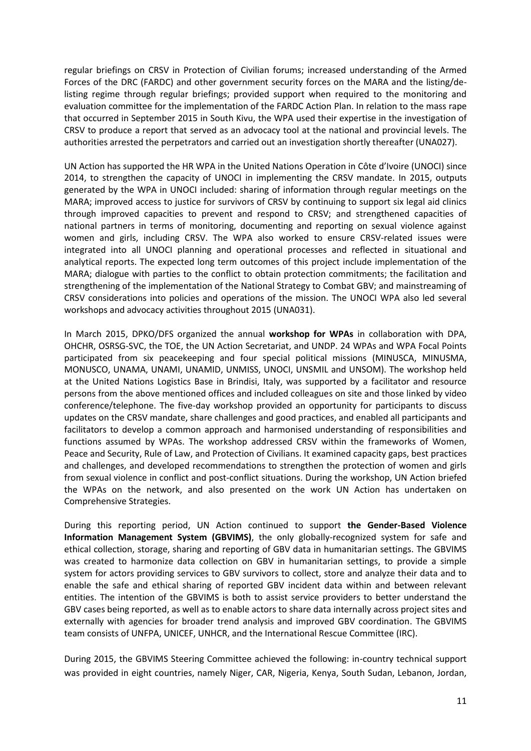regular briefings on CRSV in Protection of Civilian forums; increased understanding of the Armed Forces of the DRC (FARDC) and other government security forces on the MARA and the listing/delisting regime through regular briefings; provided support when required to the monitoring and evaluation committee for the implementation of the FARDC Action Plan. In relation to the mass rape that occurred in September 2015 in South Kivu, the WPA used their expertise in the investigation of CRSV to produce a report that served as an advocacy tool at the national and provincial levels. The authorities arrested the perpetrators and carried out an investigation shortly thereafter (UNA027).

UN Action has supported the HR WPA in the United Nations Operation in Côte d'Ivoire (UNOCI) since 2014, to strengthen the capacity of UNOCI in implementing the CRSV mandate. In 2015, outputs generated by the WPA in UNOCI included: sharing of information through regular meetings on the MARA; improved access to justice for survivors of CRSV by continuing to support six legal aid clinics through improved capacities to prevent and respond to CRSV; and strengthened capacities of national partners in terms of monitoring, documenting and reporting on sexual violence against women and girls, including CRSV. The WPA also worked to ensure CRSV-related issues were integrated into all UNOCI planning and operational processes and reflected in situational and analytical reports. The expected long term outcomes of this project include implementation of the MARA; dialogue with parties to the conflict to obtain protection commitments; the facilitation and strengthening of the implementation of the National Strategy to Combat GBV; and mainstreaming of CRSV considerations into policies and operations of the mission. The UNOCI WPA also led several workshops and advocacy activities throughout 2015 (UNA031).

In March 2015, DPKO/DFS organized the annual **workshop for WPAs** in collaboration with DPA, OHCHR, OSRSG-SVC, the TOE, the UN Action Secretariat, and UNDP. 24 WPAs and WPA Focal Points participated from six peacekeeping and four special political missions (MINUSCA, MINUSMA, MONUSCO, UNAMA, UNAMI, UNAMID, UNMISS, UNOCI, UNSMIL and UNSOM). The workshop held at the United Nations Logistics Base in Brindisi, Italy, was supported by a facilitator and resource persons from the above mentioned offices and included colleagues on site and those linked by video conference/telephone. The five-day workshop provided an opportunity for participants to discuss updates on the CRSV mandate, share challenges and good practices, and enabled all participants and facilitators to develop a common approach and harmonised understanding of responsibilities and functions assumed by WPAs. The workshop addressed CRSV within the frameworks of Women, Peace and Security, Rule of Law, and Protection of Civilians. It examined capacity gaps, best practices and challenges, and developed recommendations to strengthen the protection of women and girls from sexual violence in conflict and post-conflict situations. During the workshop, UN Action briefed the WPAs on the network, and also presented on the work UN Action has undertaken on Comprehensive Strategies.

During this reporting period, UN Action continued to support **the Gender-Based Violence Information Management System (GBVIMS)**, the only globally-recognized system for safe and ethical collection, storage, sharing and reporting of GBV data in humanitarian settings. The GBVIMS was created to harmonize data collection on GBV in humanitarian settings, to provide a simple system for actors providing services to GBV survivors to collect, store and analyze their data and to enable the safe and ethical sharing of reported GBV incident data within and between relevant entities. The intention of the GBVIMS is both to assist service providers to better understand the GBV cases being reported, as well as to enable actors to share data internally across project sites and externally with agencies for broader trend analysis and improved GBV coordination. The GBVIMS team consists of UNFPA, UNICEF, UNHCR, and the International Rescue Committee (IRC).

During 2015, the GBVIMS Steering Committee achieved the following: in-country technical support was provided in eight countries, namely Niger, CAR, Nigeria, Kenya, South Sudan, Lebanon, Jordan,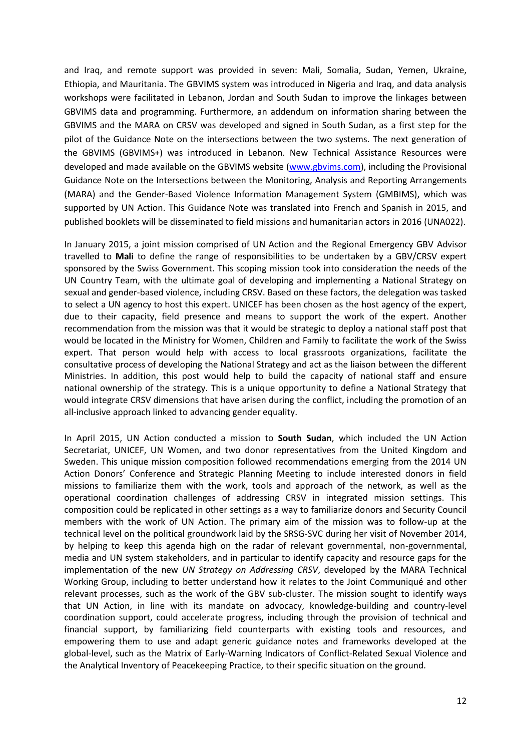and Iraq, and remote support was provided in seven: Mali, Somalia, Sudan, Yemen, Ukraine, Ethiopia, and Mauritania. The GBVIMS system was introduced in Nigeria and Iraq, and data analysis workshops were facilitated in Lebanon, Jordan and South Sudan to improve the linkages between GBVIMS data and programming. Furthermore, an addendum on information sharing between the GBVIMS and the MARA on CRSV was developed and signed in South Sudan, as a first step for the pilot of the Guidance Note on the intersections between the two systems. The next generation of the GBVIMS (GBVIMS+) was introduced in Lebanon. New Technical Assistance Resources were developed and made available on the GBVIMS website [\(www.gbvims.com\)](http://www.gbvims.com/), including the Provisional Guidance Note on the Intersections between the Monitoring, Analysis and Reporting Arrangements (MARA) and the Gender-Based Violence Information Management System (GMBIMS), which was supported by UN Action. This Guidance Note was translated into French and Spanish in 2015, and published booklets will be disseminated to field missions and humanitarian actors in 2016 (UNA022).

In January 2015, a joint mission comprised of UN Action and the Regional Emergency GBV Advisor travelled to **Mali** to define the range of responsibilities to be undertaken by a GBV/CRSV expert sponsored by the Swiss Government. This scoping mission took into consideration the needs of the UN Country Team, with the ultimate goal of developing and implementing a National Strategy on sexual and gender-based violence, including CRSV. Based on these factors, the delegation was tasked to select a UN agency to host this expert. UNICEF has been chosen as the host agency of the expert, due to their capacity, field presence and means to support the work of the expert. Another recommendation from the mission was that it would be strategic to deploy a national staff post that would be located in the Ministry for Women, Children and Family to facilitate the work of the Swiss expert. That person would help with access to local grassroots organizations, facilitate the consultative process of developing the National Strategy and act as the liaison between the different Ministries. In addition, this post would help to build the capacity of national staff and ensure national ownership of the strategy. This is a unique opportunity to define a National Strategy that would integrate CRSV dimensions that have arisen during the conflict, including the promotion of an all-inclusive approach linked to advancing gender equality.

In April 2015, UN Action conducted a mission to **South Sudan**, which included the UN Action Secretariat, UNICEF, UN Women, and two donor representatives from the United Kingdom and Sweden. This unique mission composition followed recommendations emerging from the 2014 UN Action Donors' Conference and Strategic Planning Meeting to include interested donors in field missions to familiarize them with the work, tools and approach of the network, as well as the operational coordination challenges of addressing CRSV in integrated mission settings. This composition could be replicated in other settings as a way to familiarize donors and Security Council members with the work of UN Action. The primary aim of the mission was to follow-up at the technical level on the political groundwork laid by the SRSG-SVC during her visit of November 2014, by helping to keep this agenda high on the radar of relevant governmental, non-governmental, media and UN system stakeholders, and in particular to identify capacity and resource gaps for the implementation of the new *UN Strategy on Addressing CRSV*, developed by the MARA Technical Working Group, including to better understand how it relates to the Joint Communiqué and other relevant processes, such as the work of the GBV sub-cluster. The mission sought to identify ways that UN Action, in line with its mandate on advocacy, knowledge-building and country-level coordination support, could accelerate progress, including through the provision of technical and financial support, by familiarizing field counterparts with existing tools and resources, and empowering them to use and adapt generic guidance notes and frameworks developed at the global-level, such as the Matrix of Early-Warning Indicators of Conflict-Related Sexual Violence and the Analytical Inventory of Peacekeeping Practice, to their specific situation on the ground.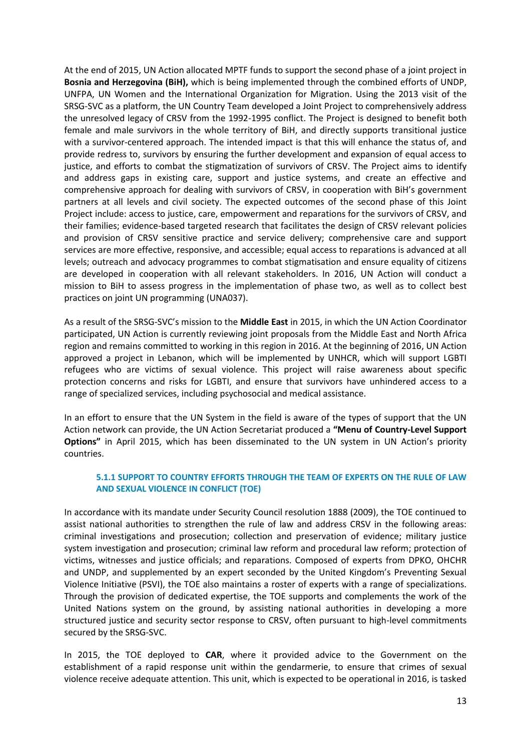At the end of 2015, UN Action allocated MPTF funds to support the second phase of a joint project in **Bosnia and Herzegovina (BiH),** which is being implemented through the combined efforts of UNDP, UNFPA, UN Women and the International Organization for Migration. Using the 2013 visit of the SRSG-SVC as a platform, the UN Country Team developed a Joint Project to comprehensively address the unresolved legacy of CRSV from the 1992-1995 conflict. The Project is designed to benefit both female and male survivors in the whole territory of BiH, and directly supports transitional justice with a survivor-centered approach. The intended impact is that this will enhance the status of, and provide redress to, survivors by ensuring the further development and expansion of equal access to justice, and efforts to combat the stigmatization of survivors of CRSV. The Project aims to identify and address gaps in existing care, support and justice systems, and create an effective and comprehensive approach for dealing with survivors of CRSV, in cooperation with BiH's government partners at all levels and civil society. The expected outcomes of the second phase of this Joint Project include: access to justice, care, empowerment and reparations for the survivors of CRSV, and their families; evidence-based targeted research that facilitates the design of CRSV relevant policies and provision of CRSV sensitive practice and service delivery; comprehensive care and support services are more effective, responsive, and accessible; equal access to reparations is advanced at all levels; outreach and advocacy programmes to combat stigmatisation and ensure equality of citizens are developed in cooperation with all relevant stakeholders. In 2016, UN Action will conduct a mission to BiH to assess progress in the implementation of phase two, as well as to collect best practices on joint UN programming (UNA037).

As a result of the SRSG-SVC's mission to the **Middle East** in 2015, in which the UN Action Coordinator participated, UN Action is currently reviewing joint proposals from the Middle East and North Africa region and remains committed to working in this region in 2016. At the beginning of 2016, UN Action approved a project in Lebanon, which will be implemented by UNHCR, which will support LGBTI refugees who are victims of sexual violence. This project will raise awareness about specific protection concerns and risks for LGBTI, and ensure that survivors have unhindered access to a range of specialized services, including psychosocial and medical assistance.

In an effort to ensure that the UN System in the field is aware of the types of support that the UN Action network can provide, the UN Action Secretariat produced a **"Menu of Country-Level Support Options"** in April 2015, which has been disseminated to the UN system in UN Action's priority countries.

### **5.1.1 SUPPORT TO COUNTRY EFFORTS THROUGH THE TEAM OF EXPERTS ON THE RULE OF LAW AND SEXUAL VIOLENCE IN CONFLICT (TOE)**

In accordance with its mandate under Security Council resolution 1888 (2009), the TOE continued to assist national authorities to strengthen the rule of law and address CRSV in the following areas: criminal investigations and prosecution; collection and preservation of evidence; military justice system investigation and prosecution; criminal law reform and procedural law reform; protection of victims, witnesses and justice officials; and reparations. Composed of experts from DPKO, OHCHR and UNDP, and supplemented by an expert seconded by the United Kingdom's Preventing Sexual Violence Initiative (PSVI), the TOE also maintains a roster of experts with a range of specializations. Through the provision of dedicated expertise, the TOE supports and complements the work of the United Nations system on the ground, by assisting national authorities in developing a more structured justice and security sector response to CRSV, often pursuant to high-level commitments secured by the SRSG-SVC.

In 2015, the TOE deployed to **CAR**, where it provided advice to the Government on the establishment of a rapid response unit within the gendarmerie, to ensure that crimes of sexual violence receive adequate attention. This unit, which is expected to be operational in 2016, is tasked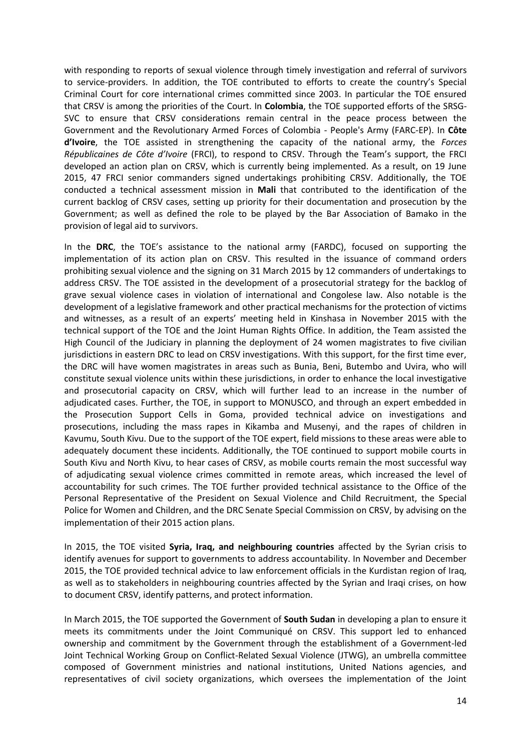with responding to reports of sexual violence through timely investigation and referral of survivors to service-providers. In addition, the TOE contributed to efforts to create the country's Special Criminal Court for core international crimes committed since 2003. In particular the TOE ensured that CRSV is among the priorities of the Court. In **Colombia**, the TOE supported efforts of the SRSG-SVC to ensure that CRSV considerations remain central in the peace process between the Government and the Revolutionary Armed Forces of Colombia - People's Army (FARC-EP). In **Côte d'Ivoire**, the TOE assisted in strengthening the capacity of the national army, the *Forces Républicaines de Côte d'Ivoire* (FRCI), to respond to CRSV. Through the Team's support, the FRCI developed an action plan on CRSV, which is currently being implemented. As a result, on 19 June 2015, 47 FRCI senior commanders signed undertakings prohibiting CRSV. Additionally, the TOE conducted a technical assessment mission in **Mali** that contributed to the identification of the current backlog of CRSV cases, setting up priority for their documentation and prosecution by the Government; as well as defined the role to be played by the Bar Association of Bamako in the provision of legal aid to survivors.

In the **DRC**, the TOE's assistance to the national army (FARDC), focused on supporting the implementation of its action plan on CRSV. This resulted in the issuance of command orders prohibiting sexual violence and the signing on 31 March 2015 by 12 commanders of undertakings to address CRSV. The TOE assisted in the development of a prosecutorial strategy for the backlog of grave sexual violence cases in violation of international and Congolese law. Also notable is the development of a legislative framework and other practical mechanisms for the protection of victims and witnesses, as a result of an experts' meeting held in Kinshasa in November 2015 with the technical support of the TOE and the Joint Human Rights Office. In addition, the Team assisted the High Council of the Judiciary in planning the deployment of 24 women magistrates to five civilian jurisdictions in eastern DRC to lead on CRSV investigations. With this support, for the first time ever, the DRC will have women magistrates in areas such as Bunia, Beni, Butembo and Uvira, who will constitute sexual violence units within these jurisdictions, in order to enhance the local investigative and prosecutorial capacity on CRSV, which will further lead to an increase in the number of adjudicated cases. Further, the TOE, in support to MONUSCO, and through an expert embedded in the Prosecution Support Cells in Goma, provided technical advice on investigations and prosecutions, including the mass rapes in Kikamba and Musenyi, and the rapes of children in Kavumu, South Kivu. Due to the support of the TOE expert, field missions to these areas were able to adequately document these incidents. Additionally, the TOE continued to support mobile courts in South Kivu and North Kivu, to hear cases of CRSV, as mobile courts remain the most successful way of adjudicating sexual violence crimes committed in remote areas, which increased the level of accountability for such crimes. The TOE further provided technical assistance to the Office of the Personal Representative of the President on Sexual Violence and Child Recruitment, the Special Police for Women and Children, and the DRC Senate Special Commission on CRSV, by advising on the implementation of their 2015 action plans.

In 2015, the TOE visited **Syria, Iraq, and neighbouring countries** affected by the Syrian crisis to identify avenues for support to governments to address accountability. In November and December 2015, the TOE provided technical advice to law enforcement officials in the Kurdistan region of Iraq, as well as to stakeholders in neighbouring countries affected by the Syrian and Iraqi crises, on how to document CRSV, identify patterns, and protect information.

In March 2015, the TOE supported the Government of **South Sudan** in developing a plan to ensure it meets its commitments under the Joint Communiqué on CRSV. This support led to enhanced ownership and commitment by the Government through the establishment of a Government-led Joint Technical Working Group on Conflict-Related Sexual Violence (JTWG), an umbrella committee composed of Government ministries and national institutions, United Nations agencies, and representatives of civil society organizations, which oversees the implementation of the Joint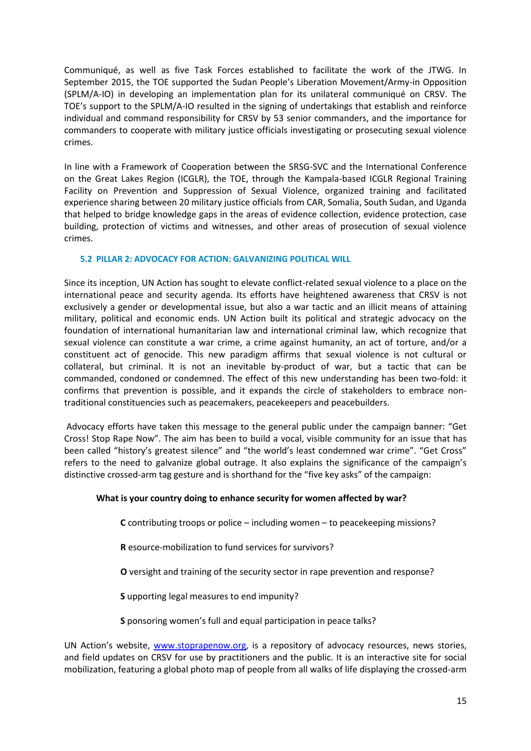Communiqué, as well as five Task Forces established to facilitate the work of the JTWG. In September 2015, the TOE supported the Sudan People's Liberation Movement/Army-in Opposition (SPLM/A-IO) in developing an implementation plan for its unilateral communiqué on CRSV. The TOE's support to the SPLM/A-IO resulted in the signing of undertakings that establish and reinforce individual and command responsibility for CRSV by 53 senior commanders, and the importance for commanders to cooperate with military justice officials investigating or prosecuting sexual violence crimes.

In line with a Framework of Cooperation between the SRSG-SVC and the International Conference on the Great Lakes Region (ICGLR), the TOE, through the Kampala-based ICGLR Regional Training Facility on Prevention and Suppression of Sexual Violence, organized training and facilitated experience sharing between 20 military justice officials from CAR, Somalia, South Sudan, and Uganda that helped to bridge knowledge gaps in the areas of evidence collection, evidence protection, case building, protection of victims and witnesses, and other areas of prosecution of sexual violence crimes.

### **5.2 PILLAR 2: ADVOCACY FOR ACTION: GALVANIZING POLITICAL WILL**

Since its inception, UN Action has sought to elevate conflict-related sexual violence to a place on the international peace and security agenda. Its efforts have heightened awareness that CRSV is not exclusively a gender or developmental issue, but also a war tactic and an illicit means of attaining military, political and economic ends. UN Action built its political and strategic advocacy on the foundation of international humanitarian law and international criminal law, which recognize that sexual violence can constitute a war crime, a crime against humanity, an act of torture, and/or a constituent act of genocide. This new paradigm affirms that sexual violence is not cultural or collateral, but criminal. It is not an inevitable by-product of war, but a tactic that can be commanded, condoned or condemned. The effect of this new understanding has been two-fold: it confirms that prevention is possible, and it expands the circle of stakeholders to embrace nontraditional constituencies such as peacemakers, peacekeepers and peacebuilders.

Advocacy efforts have taken this message to the general public under the campaign banner: "Get Cross! Stop Rape Now". The aim has been to build a vocal, visible community for an issue that has been called "history's greatest silence" and "the world's least condemned war crime". "Get Cross" refers to the need to galvanize global outrage. It also explains the significance of the campaign's distinctive crossed-arm tag gesture and is shorthand for the "five key asks" of the campaign:

### **What is your country doing to enhance security for women affected by war?**

**C** contributing troops or police – including women – to peacekeeping missions?

**R** esource-mobilization to fund services for survivors?

**O** versight and training of the security sector in rape prevention and response?

**S** upporting legal measures to end impunity?

**S** ponsoring women's full and equal participation in peace talks?

UN Action's website, [www.stoprapenow.org,](http://www.stoprapenow.org/) is a repository of advocacy resources, news stories, and field updates on CRSV for use by practitioners and the public. It is an interactive site for social mobilization, featuring a global photo map of people from all walks of life displaying the crossed-arm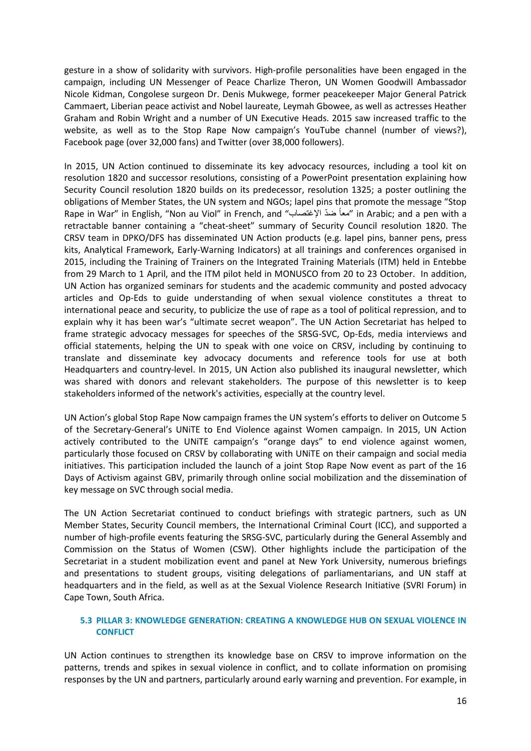gesture in a show of solidarity with survivors. High-profile personalities have been engaged in the campaign, including UN Messenger of Peace Charlize Theron, UN Women Goodwill Ambassador Nicole Kidman, Congolese surgeon Dr. Denis Mukwege, former peacekeeper Major General Patrick Cammaert, Liberian peace activist and Nobel laureate, Leymah Gbowee, as well as actresses Heather Graham and Robin Wright and a number of UN Executive Heads. 2015 saw increased traffic to the website, as well as to the Stop Rape Now campaign's YouTube channel (number of views?), Facebook page (over 32,000 fans) and Twitter (over 38,000 followers).

In 2015, UN Action continued to disseminate its key advocacy resources, including a tool kit on resolution 1820 and successor resolutions, consisting of a PowerPoint presentation explaining how Security Council resolution 1820 builds on its predecessor, resolution 1325; a poster outlining the obligations of Member States, the UN system and NGOs; lapel pins that promote the message "Stop Rape in War" in English, "Non au Viol" in French, and "المعاً ضدّ الإغتصاب " in Arabic; and a pen with a retractable banner containing a "cheat-sheet" summary of Security Council resolution 1820. The CRSV team in DPKO/DFS has disseminated UN Action products (e.g. lapel pins, banner pens, press kits, Analytical Framework, Early-Warning Indicators) at all trainings and conferences organised in 2015, including the Training of Trainers on the Integrated Training Materials (ITM) held in Entebbe from 29 March to 1 April, and the ITM pilot held in MONUSCO from 20 to 23 October. In addition, UN Action has organized seminars for students and the academic community and posted advocacy articles and Op-Eds to guide understanding of when sexual violence constitutes a threat to international peace and security, to publicize the use of rape as a tool of political repression, and to explain why it has been war's "ultimate secret weapon". The UN Action Secretariat has helped to frame strategic advocacy messages for speeches of the SRSG-SVC, Op-Eds, media interviews and official statements, helping the UN to speak with one voice on CRSV, including by continuing to translate and disseminate key advocacy documents and reference tools for use at both Headquarters and country-level. In 2015, UN Action also published its inaugural newsletter, which was shared with donors and relevant stakeholders. The purpose of this newsletter is to keep stakeholders informed of the network's activities, especially at the country level.

UN Action's global Stop Rape Now campaign frames the UN system's efforts to deliver on Outcome 5 of the Secretary-General's UNiTE to End Violence against Women campaign. In 2015, UN Action actively contributed to the UNiTE campaign's "orange days" to end violence against women, particularly those focused on CRSV by collaborating with UNiTE on their campaign and social media initiatives. This participation included the launch of a joint Stop Rape Now event as part of the 16 Days of Activism against GBV, primarily through online social mobilization and the dissemination of key message on SVC through social media.

The UN Action Secretariat continued to conduct briefings with strategic partners, such as UN Member States, Security Council members, the International Criminal Court (ICC), and supported a number of high-profile events featuring the SRSG-SVC, particularly during the General Assembly and Commission on the Status of Women (CSW). Other highlights include the participation of the Secretariat in a student mobilization event and panel at New York University, numerous briefings and presentations to student groups, visiting delegations of parliamentarians, and UN staff at headquarters and in the field, as well as at the Sexual Violence Research Initiative (SVRI Forum) in Cape Town, South Africa.

### **5.3 PILLAR 3: KNOWLEDGE GENERATION: CREATING A KNOWLEDGE HUB ON SEXUAL VIOLENCE IN CONFLICT**

UN Action continues to strengthen its knowledge base on CRSV to improve information on the patterns, trends and spikes in sexual violence in conflict, and to collate information on promising responses by the UN and partners, particularly around early warning and prevention. For example, in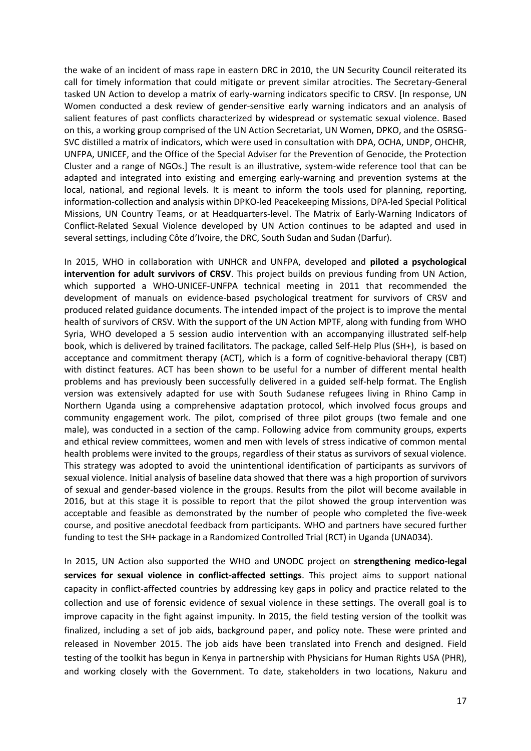the wake of an incident of mass rape in eastern DRC in 2010, the UN Security Council reiterated its call for timely information that could mitigate or prevent similar atrocities. The Secretary-General tasked UN Action to develop a matrix of early-warning indicators specific to CRSV. [In response, UN Women conducted a desk review of gender-sensitive early warning indicators and an analysis of salient features of past conflicts characterized by widespread or systematic sexual violence. Based on this, a working group comprised of the UN Action Secretariat, UN Women, DPKO, and the OSRSG-SVC distilled a matrix of indicators, which were used in consultation with DPA, OCHA, UNDP, OHCHR, UNFPA, UNICEF, and the Office of the Special Adviser for the Prevention of Genocide, the Protection Cluster and a range of NGOs.] The result is an illustrative, system-wide reference tool that can be adapted and integrated into existing and emerging early-warning and prevention systems at the local, national, and regional levels. It is meant to inform the tools used for planning, reporting, information-collection and analysis within DPKO-led Peacekeeping Missions, DPA-led Special Political Missions, UN Country Teams, or at Headquarters-level. The Matrix of Early-Warning Indicators of Conflict-Related Sexual Violence developed by UN Action continues to be adapted and used in several settings, including Côte d'Ivoire, the DRC, South Sudan and Sudan (Darfur).

In 2015, WHO in collaboration with UNHCR and UNFPA, developed and **piloted a psychological intervention for adult survivors of CRSV**. This project builds on previous funding from UN Action, which supported a WHO-UNICEF-UNFPA technical meeting in 2011 that recommended the development of manuals on evidence-based psychological treatment for survivors of CRSV and produced related guidance documents. The intended impact of the project is to improve the mental health of survivors of CRSV. With the support of the UN Action MPTF, along with funding from WHO Syria, WHO developed a 5 session audio intervention with an accompanying illustrated self-help book, which is delivered by trained facilitators. The package, called Self-Help Plus (SH+), is based on acceptance and commitment therapy (ACT), which is a form of cognitive-behavioral therapy (CBT) with distinct features. ACT has been shown to be useful for a number of different mental health problems and has previously been successfully delivered in a guided self-help format. The English version was extensively adapted for use with South Sudanese refugees living in Rhino Camp in Northern Uganda using a comprehensive adaptation protocol, which involved focus groups and community engagement work. The pilot, comprised of three pilot groups (two female and one male), was conducted in a section of the camp. Following advice from community groups, experts and ethical review committees, women and men with levels of stress indicative of common mental health problems were invited to the groups, regardless of their status as survivors of sexual violence. This strategy was adopted to avoid the unintentional identification of participants as survivors of sexual violence. Initial analysis of baseline data showed that there was a high proportion of survivors of sexual and gender-based violence in the groups. Results from the pilot will become available in 2016, but at this stage it is possible to report that the pilot showed the group intervention was acceptable and feasible as demonstrated by the number of people who completed the five-week course, and positive anecdotal feedback from participants. WHO and partners have secured further funding to test the SH+ package in a Randomized Controlled Trial (RCT) in Uganda (UNA034).

In 2015, UN Action also supported the WHO and UNODC project on **strengthening medico-legal services for sexual violence in conflict-affected settings**. This project aims to support national capacity in conflict-affected countries by addressing key gaps in policy and practice related to the collection and use of forensic evidence of sexual violence in these settings. The overall goal is to improve capacity in the fight against impunity. In 2015, the field testing version of the toolkit was finalized, including a set of job aids, background paper, and policy note. These were printed and released in November 2015. The job aids have been translated into French and designed. Field testing of the toolkit has begun in Kenya in partnership with Physicians for Human Rights USA (PHR), and working closely with the Government. To date, stakeholders in two locations, Nakuru and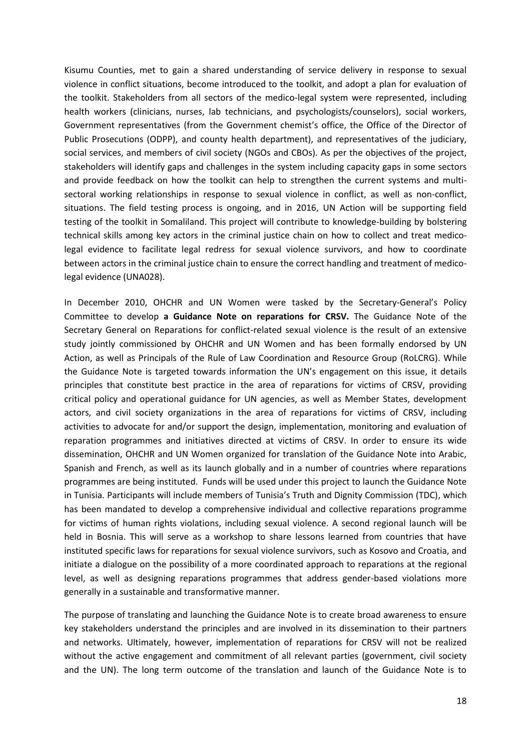Kisumu Counties, met to gain a shared understanding of service delivery in response to sexual violence in conflict situations, become introduced to the toolkit, and adopt a plan for evaluation of the toolkit. Stakeholders from all sectors of the medico-legal system were represented, including health workers (clinicians, nurses, lab technicians, and psychologists/counselors), social workers, Government representatives (from the Government chemist's office, the Office of the Director of Public Prosecutions (ODPP), and county health department), and representatives of the judiciary, social services, and members of civil society (NGOs and CBOs). As per the objectives of the project, stakeholders will identify gaps and challenges in the system including capacity gaps in some sectors and provide feedback on how the toolkit can help to strengthen the current systems and multisectoral working relationships in response to sexual violence in conflict, as well as non-conflict, situations. The field testing process is ongoing, and in 2016, UN Action will be supporting field testing of the toolkit in Somaliland. This project will contribute to knowledge-building by bolstering technical skills among key actors in the criminal justice chain on how to collect and treat medicolegal evidence to facilitate legal redress for sexual violence survivors, and how to coordinate between actors in the criminal justice chain to ensure the correct handling and treatment of medicolegal evidence (UNA028).

In December 2010, OHCHR and UN Women were tasked by the Secretary-General's Policy Committee to develop **a Guidance Note on reparations for CRSV.** The Guidance Note of the Secretary General on Reparations for conflict-related sexual violence is the result of an extensive study jointly commissioned by OHCHR and UN Women and has been formally endorsed by UN Action, as well as Principals of the Rule of Law Coordination and Resource Group (RoLCRG). While the Guidance Note is targeted towards information the UN's engagement on this issue, it details principles that constitute best practice in the area of reparations for victims of CRSV, providing critical policy and operational guidance for UN agencies, as well as Member States, development actors, and civil society organizations in the area of reparations for victims of CRSV, including activities to advocate for and/or support the design, implementation, monitoring and evaluation of reparation programmes and initiatives directed at victims of CRSV. In order to ensure its wide dissemination, OHCHR and UN Women organized for translation of the Guidance Note into Arabic, Spanish and French, as well as its launch globally and in a number of countries where reparations programmes are being instituted. Funds will be used under this project to launch the Guidance Note in Tunisia. Participants will include members of Tunisia's Truth and Dignity Commission (TDC), which has been mandated to develop a comprehensive individual and collective reparations programme for victims of human rights violations, including sexual violence. A second regional launch will be held in Bosnia. This will serve as a workshop to share lessons learned from countries that have instituted specific laws for reparations for sexual violence survivors, such as Kosovo and Croatia, and initiate a dialogue on the possibility of a more coordinated approach to reparations at the regional level, as well as designing reparations programmes that address gender-based violations more generally in a sustainable and transformative manner.

The purpose of translating and launching the Guidance Note is to create broad awareness to ensure key stakeholders understand the principles and are involved in its dissemination to their partners and networks. Ultimately, however, implementation of reparations for CRSV will not be realized without the active engagement and commitment of all relevant parties (government, civil society and the UN). The long term outcome of the translation and launch of the Guidance Note is to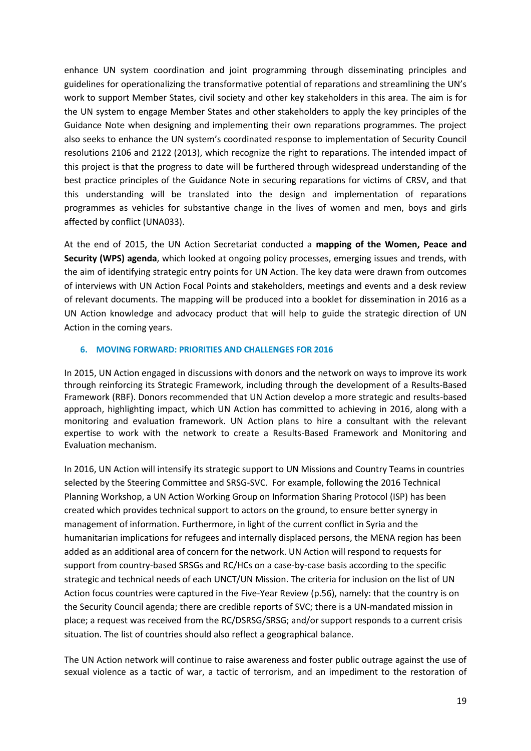enhance UN system coordination and joint programming through disseminating principles and guidelines for operationalizing the transformative potential of reparations and streamlining the UN's work to support Member States, civil society and other key stakeholders in this area. The aim is for the UN system to engage Member States and other stakeholders to apply the key principles of the Guidance Note when designing and implementing their own reparations programmes. The project also seeks to enhance the UN system's coordinated response to implementation of Security Council resolutions 2106 and 2122 (2013), which recognize the right to reparations. The intended impact of this project is that the progress to date will be furthered through widespread understanding of the best practice principles of the Guidance Note in securing reparations for victims of CRSV, and that this understanding will be translated into the design and implementation of reparations programmes as vehicles for substantive change in the lives of women and men, boys and girls affected by conflict (UNA033).

At the end of 2015, the UN Action Secretariat conducted a **mapping of the Women, Peace and Security (WPS) agenda**, which looked at ongoing policy processes, emerging issues and trends, with the aim of identifying strategic entry points for UN Action. The key data were drawn from outcomes of interviews with UN Action Focal Points and stakeholders, meetings and events and a desk review of relevant documents. The mapping will be produced into a booklet for dissemination in 2016 as a UN Action knowledge and advocacy product that will help to guide the strategic direction of UN Action in the coming years.

### **6. MOVING FORWARD: PRIORITIES AND CHALLENGES FOR 2016**

In 2015, UN Action engaged in discussions with donors and the network on ways to improve its work through reinforcing its Strategic Framework, including through the development of a Results-Based Framework (RBF). Donors recommended that UN Action develop a more strategic and results-based approach, highlighting impact, which UN Action has committed to achieving in 2016, along with a monitoring and evaluation framework. UN Action plans to hire a consultant with the relevant expertise to work with the network to create a Results-Based Framework and Monitoring and Evaluation mechanism.

In 2016, UN Action will intensify its strategic support to UN Missions and Country Teams in countries selected by the Steering Committee and SRSG-SVC. For example, following the 2016 Technical Planning Workshop, a UN Action Working Group on Information Sharing Protocol (ISP) has been created which provides technical support to actors on the ground, to ensure better synergy in management of information. Furthermore, in light of the current conflict in Syria and the humanitarian implications for refugees and internally displaced persons, the MENA region has been added as an additional area of concern for the network. UN Action will respond to requests for support from country-based SRSGs and RC/HCs on a case-by-case basis according to the specific strategic and technical needs of each UNCT/UN Mission. The criteria for inclusion on the list of UN Action focus countries were captured in the Five-Year Review (p.56), namely: that the country is on the Security Council agenda; there are credible reports of SVC; there is a UN-mandated mission in place; a request was received from the RC/DSRSG/SRSG; and/or support responds to a current crisis situation. The list of countries should also reflect a geographical balance.

The UN Action network will continue to raise awareness and foster public outrage against the use of sexual violence as a tactic of war, a tactic of terrorism, and an impediment to the restoration of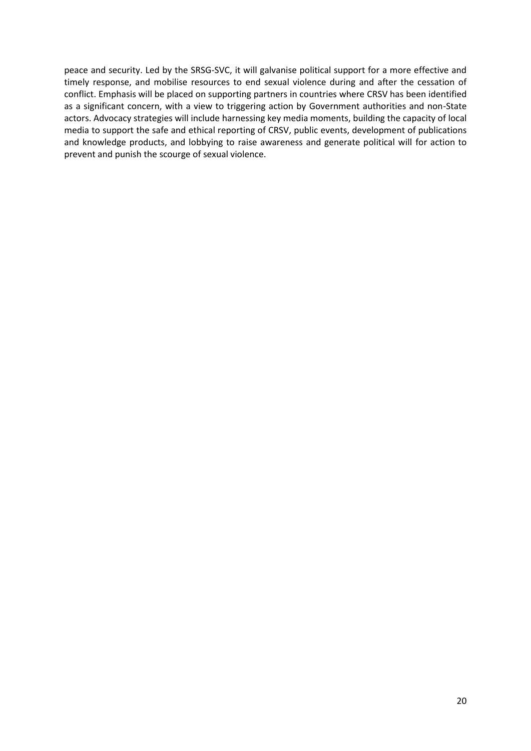peace and security. Led by the SRSG-SVC, it will galvanise political support for a more effective and timely response, and mobilise resources to end sexual violence during and after the cessation of conflict. Emphasis will be placed on supporting partners in countries where CRSV has been identified as a significant concern, with a view to triggering action by Government authorities and non-State actors. Advocacy strategies will include harnessing key media moments, building the capacity of local media to support the safe and ethical reporting of CRSV, public events, development of publications and knowledge products, and lobbying to raise awareness and generate political will for action to prevent and punish the scourge of sexual violence.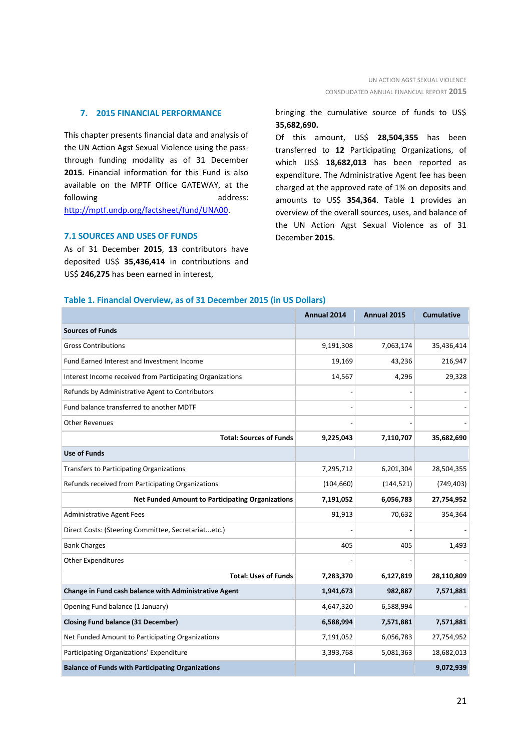### **7. 2015 FINANCIAL PERFORMANCE**

This chapter presents financial data and analysis of the UN Action Agst Sexual Violence using the passthrough funding modality as of 31 December **2015**. Financial information for this Fund is also available on the MPTF Office GATEWAY, at the following address: [http://mptf.undp.org/factsheet/fund/UNA00.](http://mptf.undp.org/factsheet/fund/UNA00)

#### **7.1 SOURCES AND USES OF FUNDS**

As of 31 December **2015**, **13** contributors have deposited US\$ **35,436,414** in contributions and US\$ **246,275** has been earned in interest,

### bringing the cumulative source of funds to US\$ **35,682,690.**

Of this amount, US\$ **28,504,355** has been transferred to **12** Participating Organizations, of which US\$ **18,682,013** has been reported as expenditure. The Administrative Agent fee has been charged at the approved rate of 1% on deposits and amounts to US\$ **354,364**. Table 1 provides an overview of the overall sources, uses, and balance of the UN Action Agst Sexual Violence as of 31 December **2015**.

| Table 1. Financial Overview, as of 31 December 2015 (in US Dollars) |  |  |  |  |  |  |
|---------------------------------------------------------------------|--|--|--|--|--|--|
|---------------------------------------------------------------------|--|--|--|--|--|--|

|                                                           | Annual 2014 | Annual 2015 | <b>Cumulative</b> |
|-----------------------------------------------------------|-------------|-------------|-------------------|
| <b>Sources of Funds</b>                                   |             |             |                   |
| <b>Gross Contributions</b>                                | 9,191,308   | 7,063,174   | 35,436,414        |
| Fund Earned Interest and Investment Income                | 19,169      | 43,236      | 216,947           |
| Interest Income received from Participating Organizations | 14,567      | 4,296       | 29,328            |
| Refunds by Administrative Agent to Contributors           |             |             |                   |
| Fund balance transferred to another MDTF                  |             |             |                   |
| <b>Other Revenues</b>                                     |             |             |                   |
| <b>Total: Sources of Funds</b>                            | 9,225,043   | 7,110,707   | 35,682,690        |
| <b>Use of Funds</b>                                       |             |             |                   |
| <b>Transfers to Participating Organizations</b>           | 7,295,712   | 6,201,304   | 28,504,355        |
| Refunds received from Participating Organizations         | (104, 660)  | (144, 521)  | (749, 403)        |
| <b>Net Funded Amount to Participating Organizations</b>   | 7,191,052   | 6,056,783   | 27,754,952        |
| Administrative Agent Fees                                 | 91,913      | 70,632      | 354,364           |
| Direct Costs: (Steering Committee, Secretariatetc.)       |             |             |                   |
| <b>Bank Charges</b>                                       | 405         | 405         | 1,493             |
| <b>Other Expenditures</b>                                 |             |             |                   |
| <b>Total: Uses of Funds</b>                               | 7,283,370   | 6,127,819   | 28,110,809        |
| Change in Fund cash balance with Administrative Agent     | 1,941,673   | 982,887     | 7,571,881         |
| Opening Fund balance (1 January)                          | 4,647,320   | 6,588,994   |                   |
| <b>Closing Fund balance (31 December)</b>                 | 6,588,994   | 7,571,881   | 7,571,881         |
| Net Funded Amount to Participating Organizations          | 7,191,052   | 6,056,783   | 27,754,952        |
| Participating Organizations' Expenditure                  | 3,393,768   | 5,081,363   | 18,682,013        |
| <b>Balance of Funds with Participating Organizations</b>  |             |             | 9,072,939         |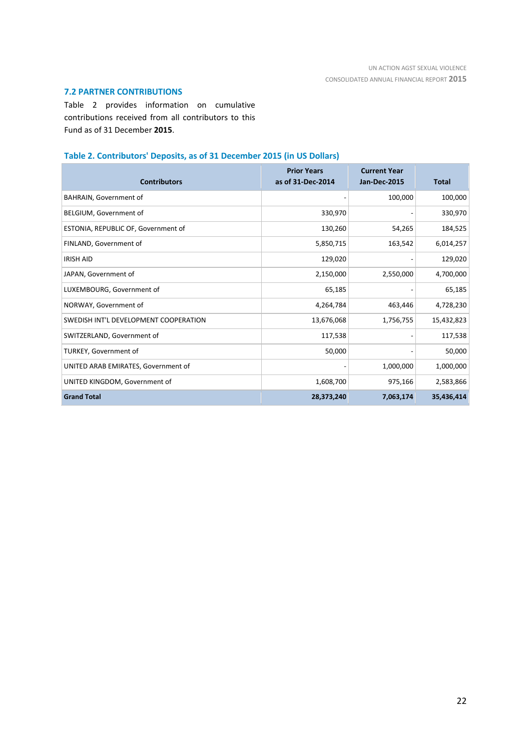### **7.2 PARTNER CONTRIBUTIONS**

Table 2 provides information on cumulative contributions received from all contributors to this Fund as of 31 December **2015**.

### **Table 2. Contributors' Deposits, as of 31 December 2015 (in US Dollars)**

| <b>Contributors</b>                   | <b>Prior Years</b><br>as of 31-Dec-2014 | <b>Current Year</b><br><b>Jan-Dec-2015</b> | <b>Total</b> |
|---------------------------------------|-----------------------------------------|--------------------------------------------|--------------|
| BAHRAIN, Government of                |                                         | 100,000                                    | 100,000      |
| BELGIUM, Government of                | 330,970                                 |                                            | 330,970      |
| ESTONIA, REPUBLIC OF, Government of   | 130,260                                 | 54,265                                     | 184,525      |
| FINLAND, Government of                | 5,850,715                               | 163,542                                    | 6,014,257    |
| <b>IRISH AID</b>                      | 129,020                                 |                                            | 129,020      |
| JAPAN, Government of                  | 2,150,000                               | 2,550,000                                  | 4,700,000    |
| LUXEMBOURG, Government of             | 65,185                                  |                                            | 65,185       |
| NORWAY, Government of                 | 4,264,784                               | 463,446                                    | 4,728,230    |
| SWEDISH INT'L DEVELOPMENT COOPERATION | 13,676,068                              | 1,756,755                                  | 15,432,823   |
| SWITZERLAND, Government of            | 117,538                                 |                                            | 117,538      |
| TURKEY, Government of                 | 50,000                                  |                                            | 50,000       |
| UNITED ARAB EMIRATES, Government of   |                                         | 1,000,000                                  | 1,000,000    |
| UNITED KINGDOM, Government of         | 1,608,700                               | 975,166                                    | 2,583,866    |
| <b>Grand Total</b>                    | 28,373,240                              | 7,063,174                                  | 35,436,414   |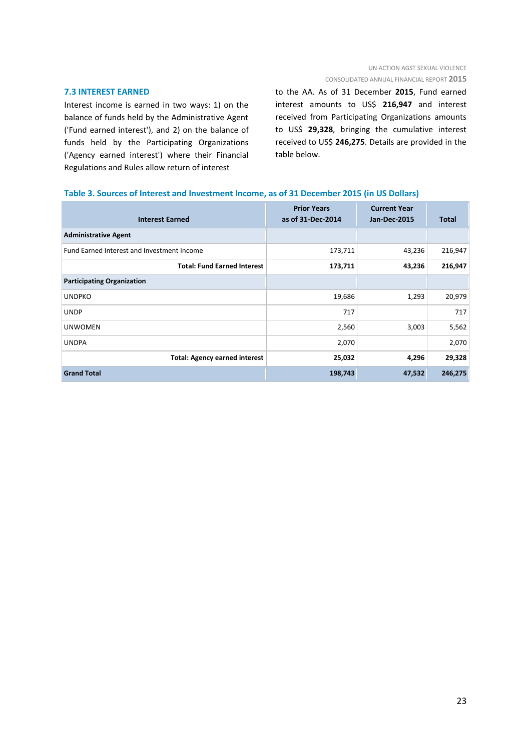### UN ACTION AGST SEXUAL VIOLENCE CONSOLIDATED ANNUAL FINANCIAL REPORT **2015**

#### **7.3 INTEREST EARNED**

Interest income is earned in two ways: 1) on the balance of funds held by the Administrative Agent ('Fund earned interest'), and 2) on the balance of funds held by the Participating Organizations ('Agency earned interest') where their Financial Regulations and Rules allow return of interest

to the AA. As of 31 December **2015**, Fund earned interest amounts to US\$ **216,947** and interest received from Participating Organizations amounts to US\$ **29,328**, bringing the cumulative interest received to US\$ **246,275**. Details are provided in the table below.

### **Table 3. Sources of Interest and Investment Income, as of 31 December 2015 (in US Dollars)**

| <b>Interest Earned</b>                     | <b>Prior Years</b><br>as of 31-Dec-2014 | <b>Current Year</b><br><b>Jan-Dec-2015</b> | <b>Total</b> |
|--------------------------------------------|-----------------------------------------|--------------------------------------------|--------------|
| <b>Administrative Agent</b>                |                                         |                                            |              |
| Fund Earned Interest and Investment Income | 173,711                                 | 43,236                                     | 216,947      |
| <b>Total: Fund Earned Interest</b>         | 173,711                                 | 43,236                                     | 216,947      |
| <b>Participating Organization</b>          |                                         |                                            |              |
| <b>UNDPKO</b>                              | 19,686                                  | 1,293                                      | 20,979       |
| <b>UNDP</b>                                | 717                                     |                                            | 717          |
| <b>UNWOMEN</b>                             | 2,560                                   | 3,003                                      | 5,562        |
| <b>UNDPA</b>                               | 2,070                                   |                                            | 2,070        |
| <b>Total: Agency earned interest</b>       | 25,032                                  | 4,296                                      | 29,328       |
| <b>Grand Total</b>                         | 198,743                                 | 47,532                                     | 246,275      |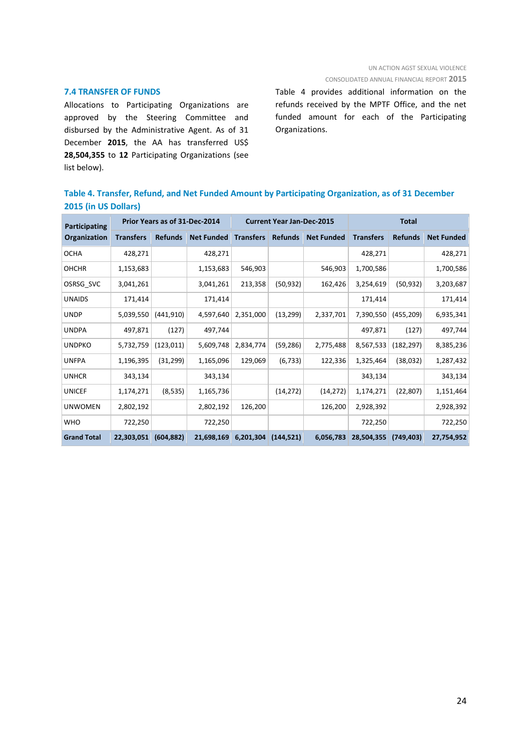### **7.4 TRANSFER OF FUNDS**

Allocations to Participating Organizations are approved by the Steering Committee and disbursed by the Administrative Agent. As of 31 December **2015**, the AA has transferred US\$ **28,504,355** to **12** Participating Organizations (see list below).

Table 4 provides additional information on the refunds received by the MPTF Office, and the net funded amount for each of the Participating Organizations.

|                      | Table 4. Transfer, Refund, and Net Funded Amount by Participating Organization, as of 31 December |  |  |  |
|----------------------|---------------------------------------------------------------------------------------------------|--|--|--|
| 2015 (in US Dollars) |                                                                                                   |  |  |  |

| Participating      | Prior Years as of 31-Dec-2014 |                |                   | <b>Current Year Jan-Dec-2015</b> |                |                   | <b>Total</b>     |                |                   |
|--------------------|-------------------------------|----------------|-------------------|----------------------------------|----------------|-------------------|------------------|----------------|-------------------|
| Organization       | <b>Transfers</b>              | <b>Refunds</b> | <b>Net Funded</b> | <b>Transfers</b>                 | <b>Refunds</b> | <b>Net Funded</b> | <b>Transfers</b> | <b>Refunds</b> | <b>Net Funded</b> |
| <b>OCHA</b>        | 428,271                       |                | 428,271           |                                  |                |                   | 428,271          |                | 428,271           |
| <b>OHCHR</b>       | 1,153,683                     |                | 1,153,683         | 546,903                          |                | 546,903           | 1,700,586        |                | 1,700,586         |
| OSRSG SVC          | 3,041,261                     |                | 3,041,261         | 213,358                          | (50, 932)      | 162,426           | 3,254,619        | (50, 932)      | 3,203,687         |
| <b>UNAIDS</b>      | 171,414                       |                | 171,414           |                                  |                |                   | 171,414          |                | 171,414           |
| <b>UNDP</b>        | 5,039,550                     | (441, 910)     | 4,597,640         | 2,351,000                        | (13, 299)      | 2,337,701         | 7,390,550        | (455, 209)     | 6,935,341         |
| <b>UNDPA</b>       | 497,871                       | (127)          | 497,744           |                                  |                |                   | 497,871          | (127)          | 497,744           |
| <b>UNDPKO</b>      | 5,732,759                     | (123, 011)     | 5,609,748         | 2,834,774                        | (59, 286)      | 2,775,488         | 8,567,533        | (182, 297)     | 8,385,236         |
| <b>UNFPA</b>       | 1,196,395                     | (31, 299)      | 1,165,096         | 129,069                          | (6, 733)       | 122,336           | 1,325,464        | (38,032)       | 1,287,432         |
| <b>UNHCR</b>       | 343,134                       |                | 343,134           |                                  |                |                   | 343,134          |                | 343,134           |
| <b>UNICEF</b>      | 1,174,271                     | (8, 535)       | 1,165,736         |                                  | (14, 272)      | (14, 272)         | 1,174,271        | (22, 807)      | 1,151,464         |
| <b>UNWOMEN</b>     | 2,802,192                     |                | 2,802,192         | 126,200                          |                | 126,200           | 2,928,392        |                | 2,928,392         |
| <b>WHO</b>         | 722,250                       |                | 722,250           |                                  |                |                   | 722,250          |                | 722,250           |
| <b>Grand Total</b> | 22,303,051                    | (604, 882)     | 21,698,169        | 6,201,304                        | (144, 521)     | 6,056,783         | 28,504,355       | (749, 403)     | 27,754,952        |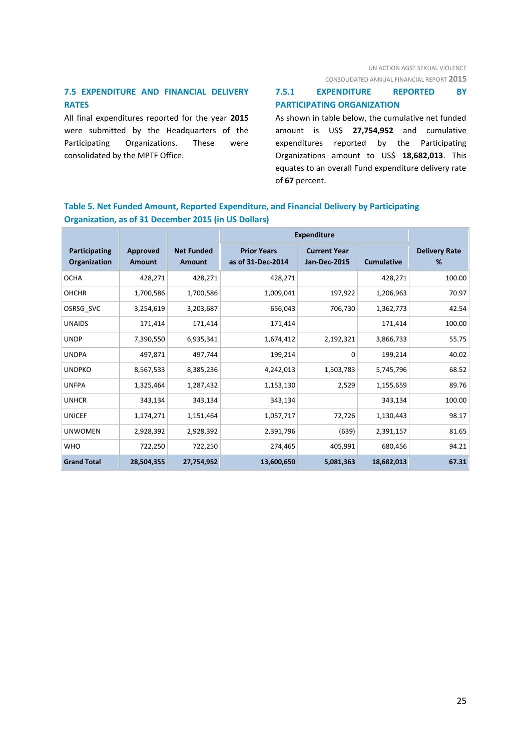UN ACTION AGST SEXUAL VIOLENCE

CONSOLIDATED ANNUAL FINANCIAL REPORT **2015**

# **7.5 EXPENDITURE AND FINANCIAL DELIVERY RATES**

All final expenditures reported for the year **2015** were submitted by the Headquarters of the Participating Organizations. These were consolidated by the MPTF Office.

# **7.5.1 EXPENDITURE REPORTED BY PARTICIPATING ORGANIZATION**

As shown in table below, the cumulative net funded amount is US\$ **27,754,952** and cumulative expenditures reported by the Participating Organizations amount to US\$ **18,682,013**. This equates to an overall Fund expenditure delivery rate of **67** percent.

# **Table 5. Net Funded Amount, Reported Expenditure, and Financial Delivery by Participating Organization, as of 31 December 2015 (in US Dollars)**

|                               |                           |                                    | <b>Expenditure</b>                      |                                            |                   |                           |
|-------------------------------|---------------------------|------------------------------------|-----------------------------------------|--------------------------------------------|-------------------|---------------------------|
| Participating<br>Organization | Approved<br><b>Amount</b> | <b>Net Funded</b><br><b>Amount</b> | <b>Prior Years</b><br>as of 31-Dec-2014 | <b>Current Year</b><br><b>Jan-Dec-2015</b> | <b>Cumulative</b> | <b>Delivery Rate</b><br>% |
| <b>OCHA</b>                   | 428,271                   | 428,271                            | 428,271                                 |                                            | 428,271           | 100.00                    |
| <b>OHCHR</b>                  | 1,700,586                 | 1,700,586                          | 1,009,041                               | 197,922                                    | 1,206,963         | 70.97                     |
| OSRSG SVC                     | 3,254,619                 | 3,203,687                          | 656,043                                 | 706,730                                    | 1,362,773         | 42.54                     |
| <b>UNAIDS</b>                 | 171,414                   | 171,414                            | 171,414                                 |                                            | 171,414           | 100.00                    |
| <b>UNDP</b>                   | 7,390,550                 | 6,935,341                          | 1,674,412                               | 2,192,321                                  | 3,866,733         | 55.75                     |
| <b>UNDPA</b>                  | 497,871                   | 497,744                            | 199,214                                 | 0                                          | 199,214           | 40.02                     |
| <b>UNDPKO</b>                 | 8,567,533                 | 8,385,236                          | 4,242,013                               | 1,503,783                                  | 5,745,796         | 68.52                     |
| <b>UNFPA</b>                  | 1,325,464                 | 1,287,432                          | 1,153,130                               | 2,529                                      | 1,155,659         | 89.76                     |
| <b>UNHCR</b>                  | 343,134                   | 343,134                            | 343,134                                 |                                            | 343,134           | 100.00                    |
| <b>UNICEF</b>                 | 1,174,271                 | 1,151,464                          | 1,057,717                               | 72,726                                     | 1,130,443         | 98.17                     |
| <b>UNWOMEN</b>                | 2,928,392                 | 2,928,392                          | 2,391,796                               | (639)                                      | 2,391,157         | 81.65                     |
| <b>WHO</b>                    | 722,250                   | 722,250                            | 274,465                                 | 405,991                                    | 680,456           | 94.21                     |
| <b>Grand Total</b>            | 28,504,355                | 27,754,952                         | 13,600,650                              | 5,081,363                                  | 18,682,013        | 67.31                     |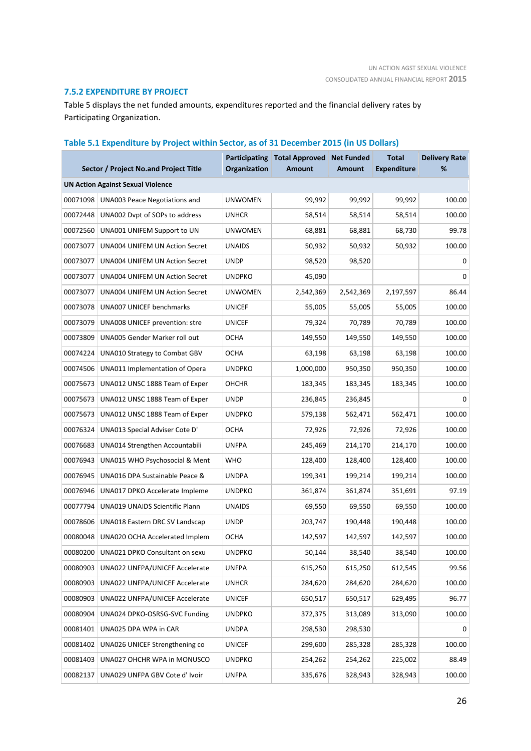### **7.5.2 EXPENDITURE BY PROJECT**

Table 5 displays the net funded amounts, expenditures reported and the financial delivery rates by Participating Organization.

# **Sector / Project No.and Project Title Participating Total Approved Organization Amount Net Funded Amount Total Expenditure Delivery Rate % UN Action Against Sexual Violence** 00071098 UNA003 Peace Negotiations and UNWOMEN 99,992 99,992 99,992 100.00 00072448 UNA002 Dvpt of SOPs to address UNHCR 58,514 58,514 58,514 58,514 100.00 00072560 UNA001 UNIFEM Support to UN UNWOMEN 68,881 68,881 68,730 99.78 00073077 UNA004 UNIFEM UN Action Secret UNAIDS 50,932 50,932 50,932 100.00 00073077 UNA004 UNIFEM UN Action Secret UNDP 98,520 98,520 0 00073077 UNA004 UNIFEM UN Action Secret UNDPKO 45.090 45.090 00073077 UNA004 UNIFEM UN Action Secret UNWOMEN 2,542,369 2,542,369 2,197,597 86.44 00073078 UNA007 UNICEF benchmarks UNICEF 55,005 55,005 55,005 100.00 00073079 UNA008 UNICEF prevention: stre UNICEF 79,324 70,789 70,789 100.00 00073809 UNA005 Gender Marker roll out OCHA 149,550 149,550 149,550 100.00 00074224 UNA010 Strategy to Combat GBV OCHA 63,198 63,198 63,198 63,198 63,198 100.00 00074506 UNA011 Implementation of Opera UNDPKO 1,000,000 950,350 950,350 100.00 00075673 UNA012 UNSC 1888 Team of Exper OHCHR 183,345 183,345 183,345 100.00 00075673 UNA012 UNSC 1888 Team of Exper UNDP 236,845 236,845 236,845 00075673 UNA012 UNSC 1888 Team of Exper UNDPKO 579,138 562,471 562,471 100.00 00076324 UNA013 Special Adviser Cote D' OCHA 72,926 72,926 72,926 72,926 100.00 00076683 UNA014 Strengthen Accountabili UNFPA 245,469 214,170 214,170 100.00 00076943 UNA015 WHO Psychosocial & Ment WHO 128,400 128,400 128,400 100.00 00076945 UNA016 DPA Sustainable Peace & UNDPA 199,341 199,214 199,214 100.00 00076946 UNA017 DPKO Accelerate Impleme UNDPKO 361,874 361,874 351,691 97.19 00077794 UNA019 UNAIDS Scientific Plann UNAIDS 69,550 69,550 69,550 100.00 00078606 UNA018 Eastern DRC SV Landscap UNDP 203,747 190,448 190,448 100.00 00080048 UNA020 OCHA Accelerated Implem OCHA 142,597 142,597 142,597 100.00 00080200 UNA021 DPKO Consultant on sexu UNDPKO 50,144 38,540 38,540 100.00 00080903 UNA022 UNFPA/UNICEF Accelerate UNFPA 615,250 615,250 612,545 99.56 00080903 UNA022 UNFPA/UNICEF Accelerate UNHCR 284,620 284,620 284,620 100.00 00080903 UNA022 UNFPA/UNICEF Accelerate UNICEF 650,517 650,517 629,495 96.77 00080904 UNA024 DPKO-OSRSG-SVC Funding UNDPKO 372,375 313,089 313,090 100.00 00081401 UNA025 DPA WPA in CAR UNDPA 298,530 298,530 00081402 UNA026 UNICEF Strengthening co UNICEF 299,600 285,328 285,328 100.00 00081403 UNA027 OHCHR WPA in MONUSCO UNDPKO 254,262 254,262 225,002 88.49 00082137 UNA029 UNFPA GBV Cote d' Ivoir UNFPA 335.676 328.943 328.943 328.943 100.00

#### **Table 5.1 Expenditure by Project within Sector, as of 31 December 2015 (in US Dollars)**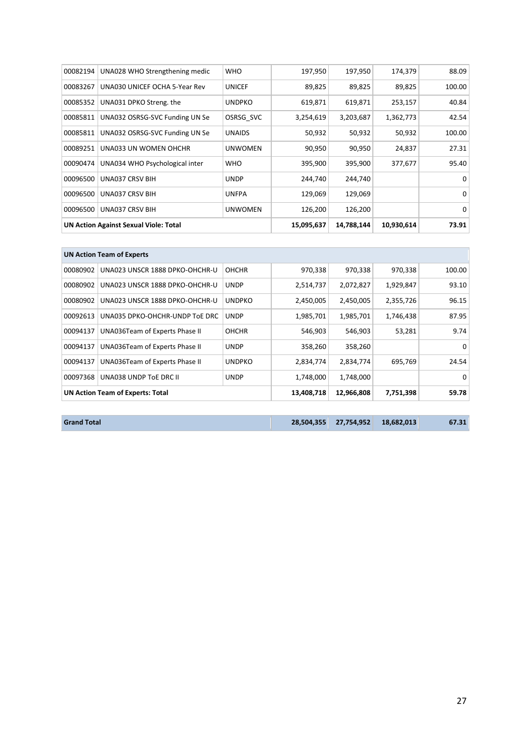| 00082194 | UNA028 WHO Strengthening medic               | <b>WHO</b>     | 197,950    | 197,950    | 174,379   | 88.09  |
|----------|----------------------------------------------|----------------|------------|------------|-----------|--------|
| 00083267 | UNA030 UNICEF OCHA 5-Year Rev                | <b>UNICEF</b>  | 89,825     | 89,825     | 89,825    | 100.00 |
| 00085352 | UNA031 DPKO Streng. the                      | <b>UNDPKO</b>  | 619,871    | 619,871    | 253,157   | 40.84  |
| 00085811 | UNA032 OSRSG-SVC Funding UN Se               | OSRSG SVC      | 3,254,619  | 3,203,687  | 1,362,773 | 42.54  |
| 00085811 | UNA032 OSRSG-SVC Funding UN Se               | <b>UNAIDS</b>  | 50,932     | 50,932     | 50,932    | 100.00 |
| 00089251 | UNA033 UN WOMEN OHCHR                        | <b>UNWOMEN</b> | 90,950     | 90,950     | 24,837    | 27.31  |
| 00090474 | UNA034 WHO Psychological inter               | <b>WHO</b>     | 395,900    | 395,900    | 377,677   | 95.40  |
| 00096500 | UNA037 CRSV BIH                              | <b>UNDP</b>    | 244,740    | 244,740    |           | 0      |
| 00096500 | <b>UNA037 CRSV BIH</b>                       | <b>UNFPA</b>   | 129,069    | 129,069    |           | 0      |
| 00096500 | <b>UNA037 CRSV BIH</b>                       | <b>UNWOMEN</b> | 126,200    | 126,200    |           | 0      |
|          | <b>UN Action Against Sexual Viole: Total</b> | 15,095,637     | 14,788,144 | 10,930,614 | 73.91     |        |

|          | <b>UN Action Team of Experts</b>        |               |            |            |           |          |
|----------|-----------------------------------------|---------------|------------|------------|-----------|----------|
| 00080902 | UNA023 UNSCR 1888 DPKO-OHCHR-U          | <b>OHCHR</b>  | 970,338    | 970,338    | 970,338   | 100.00   |
| 00080902 | UNA023 UNSCR 1888 DPKO-OHCHR-U          | <b>UNDP</b>   | 2,514,737  | 2,072,827  | 1,929,847 | 93.10    |
| 00080902 | UNA023 UNSCR 1888 DPKO-OHCHR-U          | <b>UNDPKO</b> | 2,450,005  | 2,450,005  | 2,355,726 | 96.15    |
| 00092613 | UNA035 DPKO-OHCHR-UNDP TOE DRC          | <b>UNDP</b>   | 1,985,701  | 1,985,701  | 1,746,438 | 87.95    |
| 00094137 | UNA036Team of Experts Phase II          | <b>OHCHR</b>  | 546,903    | 546,903    | 53,281    | 9.74     |
| 00094137 | UNA036Team of Experts Phase II          | <b>UNDP</b>   | 358,260    | 358,260    |           | $\Omega$ |
| 00094137 | UNA036Team of Experts Phase II          | <b>UNDPKO</b> | 2,834,774  | 2,834,774  | 695,769   | 24.54    |
| 00097368 | UNA038 UNDP TOE DRC II                  | <b>UNDP</b>   | 1,748,000  | 1,748,000  |           | 0        |
|          | <b>UN Action Team of Experts: Total</b> |               | 13,408,718 | 12,966,808 | 7,751,398 | 59.78    |

| <b>Grand Total</b> |  |  | 28,504,355 27,754,952 18,682,013 | 67.31 |
|--------------------|--|--|----------------------------------|-------|
|--------------------|--|--|----------------------------------|-------|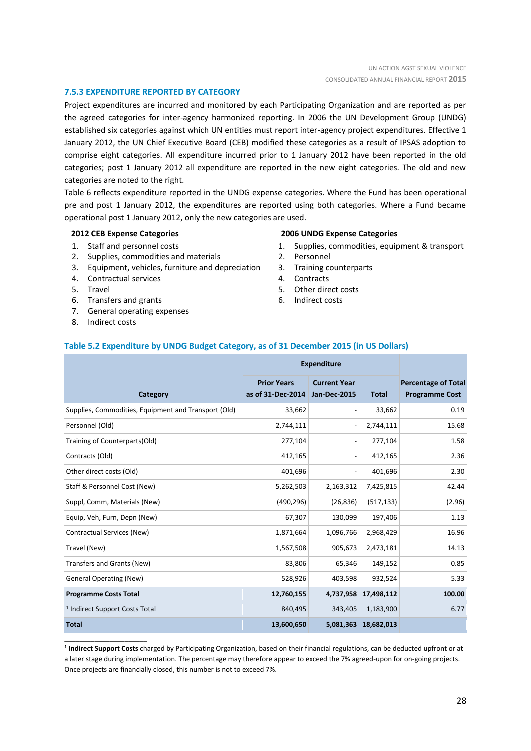### **7.5.3 EXPENDITURE REPORTED BY CATEGORY**

Project expenditures are incurred and monitored by each Participating Organization and are reported as per the agreed categories for inter-agency harmonized reporting. In 2006 the UN Development Group (UNDG) established six categories against which UN entities must report inter-agency project expenditures. Effective 1 January 2012, the UN Chief Executive Board (CEB) modified these categories as a result of IPSAS adoption to comprise eight categories. All expenditure incurred prior to 1 January 2012 have been reported in the old categories; post 1 January 2012 all expenditure are reported in the new eight categories. The old and new categories are noted to the right.

Table 6 reflects expenditure reported in the UNDG expense categories. Where the Fund has been operational pre and post 1 January 2012, the expenditures are reported using both categories. Where a Fund became operational post 1 January 2012, only the new categories are used.

#### **2012 CEB Expense Categories**

- 1. Staff and personnel costs
- 2. Supplies, commodities and materials
- 3. Equipment, vehicles, furniture and depreciation
- 4. Contractual services
- 5. Travel
- 6. Transfers and grants
- 7. General operating expenses
- 8. Indirect costs

\_\_\_\_\_\_\_\_\_\_\_\_\_\_\_\_\_\_\_\_\_\_

#### **2006 UNDG Expense Categories**

- 1. Supplies, commodities, equipment & transport
- 2. Personnel
- 3. Training counterparts
- 4. Contracts
- 5. Other direct costs
- 6. Indirect costs

#### **Table 5.2 Expenditure by UNDG Budget Category, as of 31 December 2015 (in US Dollars)**

| <b>Expenditure</b>                                   |                                         |                                            |              |                                                     |
|------------------------------------------------------|-----------------------------------------|--------------------------------------------|--------------|-----------------------------------------------------|
| Category                                             | <b>Prior Years</b><br>as of 31-Dec-2014 | <b>Current Year</b><br><b>Jan-Dec-2015</b> | <b>Total</b> | <b>Percentage of Total</b><br><b>Programme Cost</b> |
| Supplies, Commodities, Equipment and Transport (Old) | 33,662                                  |                                            | 33,662       | 0.19                                                |
| Personnel (Old)                                      | 2,744,111                               |                                            | 2,744,111    | 15.68                                               |
| Training of Counterparts(Old)                        | 277,104                                 |                                            | 277,104      | 1.58                                                |
| Contracts (Old)                                      | 412,165                                 |                                            | 412,165      | 2.36                                                |
| Other direct costs (Old)                             | 401,696                                 |                                            | 401,696      | 2.30                                                |
| Staff & Personnel Cost (New)                         | 5,262,503                               | 2,163,312                                  | 7,425,815    | 42.44                                               |
| Suppl, Comm, Materials (New)                         | (490, 296)                              | (26, 836)                                  | (517, 133)   | (2.96)                                              |
| Equip, Veh, Furn, Depn (New)                         | 67,307                                  | 130,099                                    | 197,406      | 1.13                                                |
| Contractual Services (New)                           | 1,871,664                               | 1,096,766                                  | 2,968,429    | 16.96                                               |
| Travel (New)                                         | 1,567,508                               | 905,673                                    | 2,473,181    | 14.13                                               |
| Transfers and Grants (New)                           | 83,806                                  | 65,346                                     | 149,152      | 0.85                                                |
| <b>General Operating (New)</b>                       | 528,926                                 | 403,598                                    | 932,524      | 5.33                                                |
| <b>Programme Costs Total</b>                         | 12,760,155                              | 4,737,958                                  | 17,498,112   | 100.00                                              |
| <sup>1</sup> Indirect Support Costs Total            | 840,495                                 | 343,405                                    | 1,183,900    | 6.77                                                |
| <b>Total</b>                                         | 13,600,650                              | 5,081,363                                  | 18,682,013   |                                                     |

**1 Indirect Support Costs** charged by Participating Organization, based on their financial regulations, can be deducted upfront or at a later stage during implementation. The percentage may therefore appear to exceed the 7% agreed-upon for on-going projects. Once projects are financially closed, this number is not to exceed 7%.